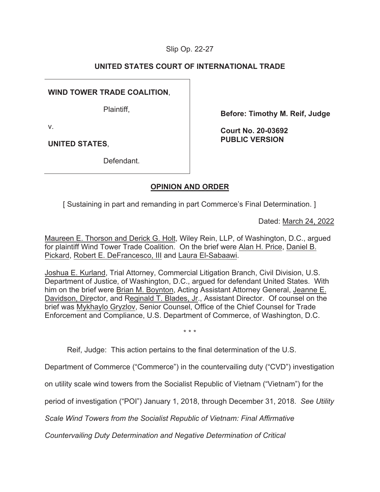# Slip Op. 22-27

# **UNITED STATES COURT OF INTERNATIONAL TRADE**

# **WIND TOWER TRADE COALITION**,

Plaintiff,

**Before: Timothy M. Reif, Judge** 

v.

**UNITED STATES**,

**Court No. 20-03692 PUBLIC VERSION** 

Defendant.

# **OPINION AND ORDER**

[ Sustaining in part and remanding in part Commerce's Final Determination. ]

Dated: March 24, 2022

Maureen E. Thorson and Derick G. Holt, Wiley Rein, LLP, of Washington, D.C., argued for plaintiff Wind Tower Trade Coalition. On the brief were Alan H. Price, Daniel B. Pickard, Robert E. DeFrancesco, III and Laura El-Sabaawi.

Joshua E. Kurland, Trial Attorney, Commercial Litigation Branch, Civil Division, U.S. Department of Justice, of Washington, D.C., argued for defendant United States. With him on the brief were Brian M. Boynton, Acting Assistant Attorney General, Jeanne E. Davidson, Director, and Reginald T. Blades, Jr., Assistant Director. Of counsel on the brief was Mykhaylo Gryzlov, Senior Counsel, Office of the Chief Counsel for Trade Enforcement and Compliance, U.S. Department of Commerce, of Washington, D.C.

\* \* \*

Reif, Judge: This action pertains to the final determination of the U.S.

Department of Commerce ("Commerce") in the countervailing duty ("CVD") investigation

on utility scale wind towers from the Socialist Republic of Vietnam ("Vietnam") for the

period of investigation ("POI") January 1, 2018, through December 31, 2018. *See Utility* 

*Scale Wind Towers from the Socialist Republic of Vietnam: Final Affirmative* 

*Countervailing Duty Determination and Negative Determination of Critical*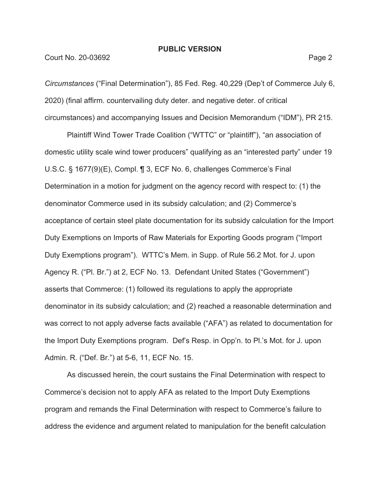## **Court No. 20-03692** Page 2

*Circumstances* ("Final Determination"), 85 Fed. Reg. 40,229 (Dep't of Commerce July 6, 2020) (final affirm. countervailing duty deter. and negative deter. of critical circumstances) and accompanying Issues and Decision Memorandum ("IDM"), PR 215.

Plaintiff Wind Tower Trade Coalition ("WTTC" or "plaintiff"), "an association of domestic utility scale wind tower producers" qualifying as an "interested party" under 19 U.S.C. § 1677(9)(E), Compl. ¶ 3, ECF No. 6, challenges Commerce's Final Determination in a motion for judgment on the agency record with respect to: (1) the denominator Commerce used in its subsidy calculation; and (2) Commerce's acceptance of certain steel plate documentation for its subsidy calculation for the Import Duty Exemptions on Imports of Raw Materials for Exporting Goods program ("Import Duty Exemptions program"). WTTC's Mem. in Supp. of Rule 56.2 Mot. for J. upon Agency R. ("Pl. Br.") at 2, ECF No. 13. Defendant United States ("Government") asserts that Commerce: (1) followed its regulations to apply the appropriate denominator in its subsidy calculation; and (2) reached a reasonable determination and was correct to not apply adverse facts available ("AFA") as related to documentation for the Import Duty Exemptions program. Def's Resp. in Opp'n. to Pl.'s Mot. for J. upon Admin. R. ("Def. Br.") at 5-6, 11, ECF No. 15.

As discussed herein, the court sustains the Final Determination with respect to Commerce's decision not to apply AFA as related to the Import Duty Exemptions program and remands the Final Determination with respect to Commerce's failure to address the evidence and argument related to manipulation for the benefit calculation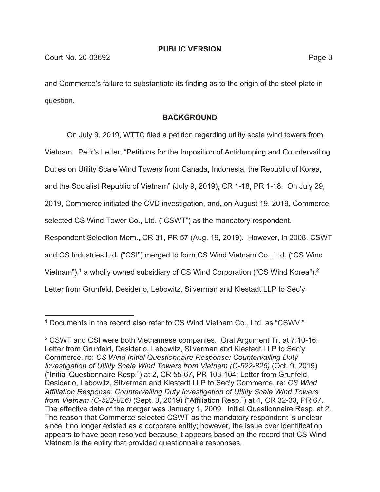and Commerce's failure to substantiate its finding as to the origin of the steel plate in question.

# **BACKGROUND**

On July 9, 2019, WTTC filed a petition regarding utility scale wind towers from Vietnam. Pet'r's Letter, "Petitions for the Imposition of Antidumping and Countervailing Duties on Utility Scale Wind Towers from Canada, Indonesia, the Republic of Korea, and the Socialist Republic of Vietnam" (July 9, 2019), CR 1-18, PR 1-18. On July 29, 2019, Commerce initiated the CVD investigation, and, on August 19, 2019, Commerce selected CS Wind Tower Co., Ltd. ("CSWT") as the mandatory respondent. Respondent Selection Mem., CR 31, PR 57 (Aug. 19, 2019). However, in 2008, CSWT and CS Industries Ltd. ("CSI") merged to form CS Wind Vietnam Co., Ltd. ("CS Wind Vietnam"),<sup>1</sup> a wholly owned subsidiary of CS Wind Corporation ("CS Wind Korea").<sup>2</sup> Letter from Grunfeld, Desiderio, Lebowitz, Silverman and Klestadt LLP to Sec'y

<sup>&</sup>lt;sup>1</sup> Documents in the record also refer to CS Wind Vietnam Co., Ltd. as "CSWV."

<sup>&</sup>lt;sup>2</sup> CSWT and CSI were both Vietnamese companies. Oral Argument Tr. at 7:10-16; Letter from Grunfeld, Desiderio, Lebowitz, Silverman and Klestadt LLP to Sec'y Commerce, re: *CS Wind Initial Questionnaire Response: Countervailing Duty Investigation of Utility Scale Wind Towers from Vietnam (C-522-826)* (Oct. 9, 2019) ("Initial Questionnaire Resp.") at 2, CR 55-67, PR 103-104; Letter from Grunfeld, Desiderio, Lebowitz, Silverman and Klestadt LLP to Sec'y Commerce, re: *CS Wind Affiliation Response: Countervailing Duty Investigation of Utility Scale Wind Towers from Vietnam (C-522-826)* (Sept. 3, 2019) ("Affiliation Resp.") at 4, CR 32-33, PR 67. The effective date of the merger was January 1, 2009. Initial Questionnaire Resp. at 2. The reason that Commerce selected CSWT as the mandatory respondent is unclear since it no longer existed as a corporate entity; however, the issue over identification appears to have been resolved because it appears based on the record that CS Wind Vietnam is the entity that provided questionnaire responses.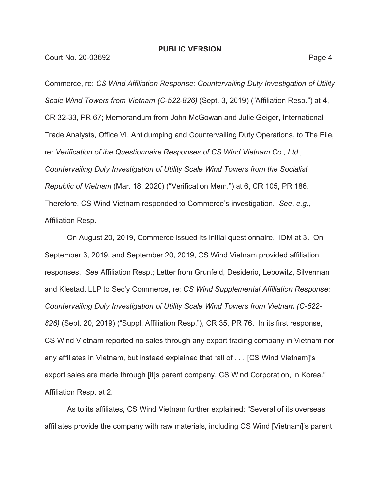Court No. 20-03692 Page 4

Commerce, re: *CS Wind Affiliation Response: Countervailing Duty Investigation of Utility Scale Wind Towers from Vietnam (C-522-826)* (Sept. 3, 2019) ("Affiliation Resp.") at 4, CR 32-33, PR 67; Memorandum from John McGowan and Julie Geiger, International Trade Analysts, Office VI, Antidumping and Countervailing Duty Operations, to The File, re: *Verification of the Questionnaire Responses of CS Wind Vietnam Co., Ltd., Countervailing Duty Investigation of Utility Scale Wind Towers from the Socialist Republic of Vietnam* (Mar. 18, 2020) ("Verification Mem.") at 6, CR 105, PR 186. Therefore, CS Wind Vietnam responded to Commerce's investigation. *See, e.g.*, Affiliation Resp.

On August 20, 2019, Commerce issued its initial questionnaire. IDM at 3. On September 3, 2019, and September 20, 2019, CS Wind Vietnam provided affiliation responses. *See* Affiliation Resp.; Letter from Grunfeld, Desiderio, Lebowitz, Silverman and Klestadt LLP to Sec'y Commerce, re: *CS Wind Supplemental Affiliation Response: Countervailing Duty Investigation of Utility Scale Wind Towers from Vietnam (C-522- 826)* (Sept. 20, 2019) ("Suppl. Affiliation Resp."), CR 35, PR 76. In its first response, CS Wind Vietnam reported no sales through any export trading company in Vietnam nor any affiliates in Vietnam, but instead explained that "all of . . . [CS Wind Vietnam]'s export sales are made through [it]s parent company, CS Wind Corporation, in Korea." Affiliation Resp. at 2.

As to its affiliates, CS Wind Vietnam further explained: "Several of its overseas affiliates provide the company with raw materials, including CS Wind [Vietnam]'s parent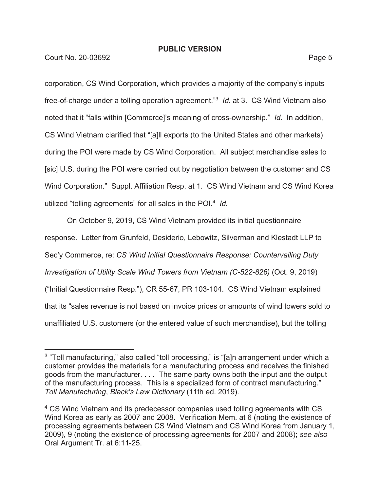**Court No. 20-03692** Page 5

corporation, CS Wind Corporation, which provides a majority of the company's inputs free-of-charge under a tolling operation agreement."3 *Id.* at 3. CS Wind Vietnam also noted that it "falls within [Commerce]'s meaning of cross-ownership." *Id.* In addition, CS Wind Vietnam clarified that "[a]ll exports (to the United States and other markets) during the POI were made by CS Wind Corporation. All subject merchandise sales to [sic] U.S. during the POI were carried out by negotiation between the customer and CS Wind Corporation." Suppl. Affiliation Resp. at 1. CS Wind Vietnam and CS Wind Korea utilized "tolling agreements" for all sales in the POI.4 *Id.* 

On October 9, 2019, CS Wind Vietnam provided its initial questionnaire response. Letter from Grunfeld, Desiderio, Lebowitz, Silverman and Klestadt LLP to Sec'y Commerce, re: *CS Wind Initial Questionnaire Response: Countervailing Duty Investigation of Utility Scale Wind Towers from Vietnam (C-522-826)* (Oct. 9, 2019) ("Initial Questionnaire Resp."), CR 55-67, PR 103-104. CS Wind Vietnam explained that its "sales revenue is not based on invoice prices or amounts of wind towers sold to unaffiliated U.S. customers (or the entered value of such merchandise), but the tolling

<sup>&</sup>lt;sup>3</sup> "Toll manufacturing," also called "toll processing," is "[a]n arrangement under which a customer provides the materials for a manufacturing process and receives the finished goods from the manufacturer. . . . The same party owns both the input and the output of the manufacturing process. This is a specialized form of contract manufacturing." *Toll Manufacturing*, *Black's Law Dictionary* (11th ed. 2019).

<sup>4</sup> CS Wind Vietnam and its predecessor companies used tolling agreements with CS Wind Korea as early as 2007 and 2008. Verification Mem. at 6 (noting the existence of processing agreements between CS Wind Vietnam and CS Wind Korea from January 1, 2009), 9 (noting the existence of processing agreements for 2007 and 2008); *see also*  Oral Argument Tr. at 6:11-25.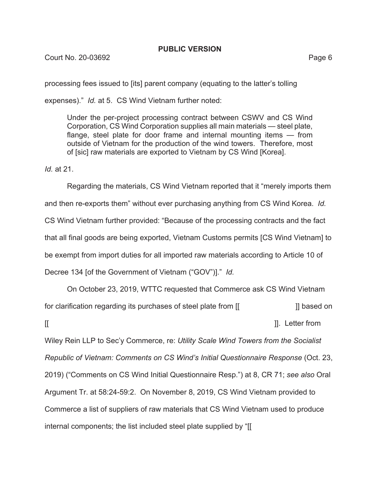processing fees issued to [its] parent company (equating to the latter's tolling

expenses)." *Id.* at 5. CS Wind Vietnam further noted:

Under the per-project processing contract between CSWV and CS Wind Corporation, CS Wind Corporation supplies all main materials — steel plate, flange, steel plate for door frame and internal mounting items — from outside of Vietnam for the production of the wind towers. Therefore, most of [sic] raw materials are exported to Vietnam by CS Wind [Korea].

*Id.* at 21.

Regarding the materials, CS Wind Vietnam reported that it "merely imports them and then re-exports them" without ever purchasing anything from CS Wind Korea. *Id.*  CS Wind Vietnam further provided: "Because of the processing contracts and the fact that all final goods are being exported, Vietnam Customs permits [CS Wind Vietnam] to be exempt from import duties for all imported raw materials according to Article 10 of Decree 134 [of the Government of Vietnam ("GOV")]." *Id.* 

On October 23, 2019, WTTC requested that Commerce ask CS Wind Vietnam for clarification regarding its purchases of steel plate from [[ ] [ ] based on  $\left[\left[\right. \right]$   $\left[\left.\right]$   $\left[\right]$   $\left[\right]$   $\left[\right]$   $\left[\right]$   $\left[\right]$   $\left[\right]$   $\left[\right]$   $\left[\right]$   $\left[\right]$   $\left[\right]$   $\left[\right]$   $\left[\right]$   $\left[\right]$   $\left[\right]$   $\left[\right]$   $\left[\right]$   $\left[\right]$   $\left[\right]$   $\left[\right]$   $\left[\right]$   $\left[\right]$   $\left[\right]$   $\left[\right]$   $\left[\right]$   $\left[\right]$ Wiley Rein LLP to Sec'y Commerce, re: *Utility Scale Wind Towers from the Socialist Republic of Vietnam: Comments on CS Wind's Initial Questionnaire Response* (Oct. 23, 2019) ("Comments on CS Wind Initial Questionnaire Resp.") at 8, CR 71; *see also* Oral Argument Tr. at 58:24-59:2. On November 8, 2019, CS Wind Vietnam provided to Commerce a list of suppliers of raw materials that CS Wind Vietnam used to produce internal components; the list included steel plate supplied by "[[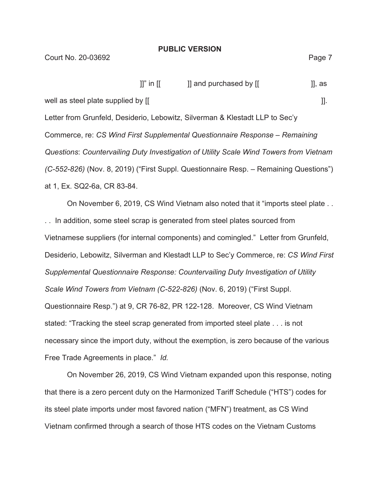|                                    | $\prod$ " in $\prod$ | ]] and purchased by [[                                                       | II, as |
|------------------------------------|----------------------|------------------------------------------------------------------------------|--------|
| well as steel plate supplied by [[ |                      |                                                                              |        |
|                                    |                      | Letter from Grunfeld, Desiderio, Lebowitz, Silverman & Klestadt LLP to Sec'y |        |

Commerce, re: *CS Wind First Supplemental Questionnaire Response – Remaining Questions*: *Countervailing Duty Investigation of Utility Scale Wind Towers from Vietnam (C-552-826)* (Nov. 8, 2019) ("First Suppl. Questionnaire Resp. – Remaining Questions") at 1, Ex. SQ2-6a, CR 83-84.

On November 6, 2019, CS Wind Vietnam also noted that it "imports steel plate . . . . In addition, some steel scrap is generated from steel plates sourced from Vietnamese suppliers (for internal components) and comingled." Letter from Grunfeld, Desiderio, Lebowitz, Silverman and Klestadt LLP to Sec'y Commerce, re: *CS Wind First Supplemental Questionnaire Response: Countervailing Duty Investigation of Utility Scale Wind Towers from Vietnam (C-522-826)* (Nov. 6, 2019) ("First Suppl. Questionnaire Resp.") at 9, CR 76-82, PR 122-128. Moreover, CS Wind Vietnam stated: "Tracking the steel scrap generated from imported steel plate . . . is not necessary since the import duty, without the exemption, is zero because of the various Free Trade Agreements in place." *Id.* 

On November 26, 2019, CS Wind Vietnam expanded upon this response, noting that there is a zero percent duty on the Harmonized Tariff Schedule ("HTS") codes for its steel plate imports under most favored nation ("MFN") treatment, as CS Wind Vietnam confirmed through a search of those HTS codes on the Vietnam Customs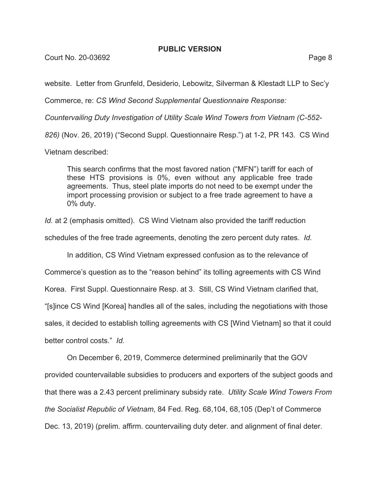Court No. 20-03692 Page 8

website. Letter from Grunfeld, Desiderio, Lebowitz, Silverman & Klestadt LLP to Sec'y

Commerce, re: *CS Wind Second Supplemental Questionnaire Response:* 

*Countervailing Duty Investigation of Utility Scale Wind Towers from Vietnam (C-552-*

*826)* (Nov. 26, 2019) ("Second Suppl. Questionnaire Resp.") at 1-2, PR 143. CS Wind

Vietnam described:

This search confirms that the most favored nation ("MFN") tariff for each of these HTS provisions is 0%, even without any applicable free trade agreements. Thus, steel plate imports do not need to be exempt under the import processing provision or subject to a free trade agreement to have a 0% duty.

*Id.* at 2 (emphasis omitted). CS Wind Vietnam also provided the tariff reduction

schedules of the free trade agreements, denoting the zero percent duty rates. *Id.* 

In addition, CS Wind Vietnam expressed confusion as to the relevance of

Commerce's question as to the "reason behind" its tolling agreements with CS Wind

Korea. First Suppl. Questionnaire Resp. at 3. Still, CS Wind Vietnam clarified that,

"[s]ince CS Wind [Korea] handles all of the sales, including the negotiations with those

sales, it decided to establish tolling agreements with CS [Wind Vietnam] so that it could

better control costs." *Id.* 

On December 6, 2019, Commerce determined preliminarily that the GOV

provided countervailable subsidies to producers and exporters of the subject goods and that there was a 2.43 percent preliminary subsidy rate. *Utility Scale Wind Towers From the Socialist Republic of Vietnam*, 84 Fed. Reg. 68,104, 68,105 (Dep't of Commerce Dec. 13, 2019) (prelim. affirm. countervailing duty deter. and alignment of final deter.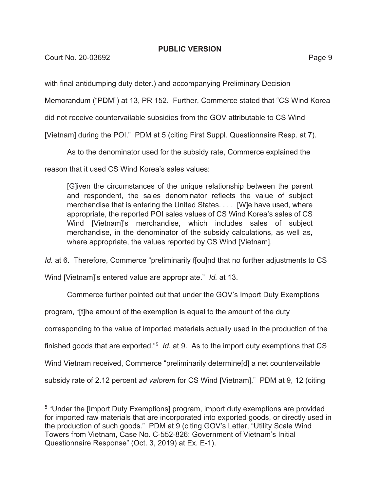**Court No. 20-03692** Page 9

with final antidumping duty deter.) and accompanying Preliminary Decision

Memorandum ("PDM") at 13, PR 152. Further, Commerce stated that "CS Wind Korea

did not receive countervailable subsidies from the GOV attributable to CS Wind

[Vietnam] during the POI." PDM at 5 (citing First Suppl. Questionnaire Resp. at 7).

As to the denominator used for the subsidy rate, Commerce explained the

reason that it used CS Wind Korea's sales values:

[G]iven the circumstances of the unique relationship between the parent and respondent, the sales denominator reflects the value of subject merchandise that is entering the United States. . . . [W]e have used, where appropriate, the reported POI sales values of CS Wind Korea's sales of CS Wind [Vietnam]'s merchandise, which includes sales of subject merchandise, in the denominator of the subsidy calculations, as well as, where appropriate, the values reported by CS Wind [Vietnam].

*Id.* at 6. Therefore, Commerce "preliminarily f[ou]nd that no further adjustments to CS

Wind [Vietnam]'s entered value are appropriate." *Id.* at 13.

Commerce further pointed out that under the GOV's Import Duty Exemptions program, "[t]he amount of the exemption is equal to the amount of the duty corresponding to the value of imported materials actually used in the production of the finished goods that are exported."5 *Id.* at 9. As to the import duty exemptions that CS Wind Vietnam received, Commerce "preliminarily determine[d] a net countervailable subsidy rate of 2.12 percent *ad valorem* for CS Wind [Vietnam]." PDM at 9, 12 (citing

<sup>5 &</sup>quot;Under the [Import Duty Exemptions] program, import duty exemptions are provided for imported raw materials that are incorporated into exported goods, or directly used in the production of such goods." PDM at 9 (citing GOV's Letter, "Utility Scale Wind Towers from Vietnam, Case No. C-552-826: Government of Vietnam's Initial Questionnaire Response" (Oct. 3, 2019) at Ex. E-1).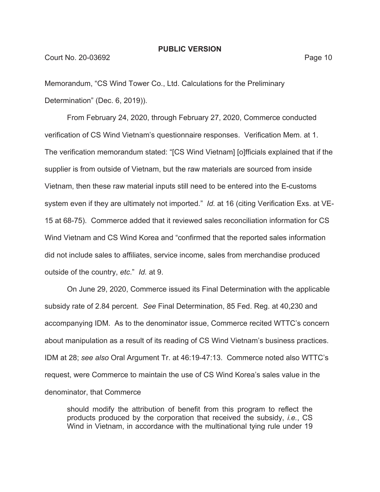Memorandum, "CS Wind Tower Co., Ltd. Calculations for the Preliminary Determination" (Dec. 6, 2019)).

From February 24, 2020, through February 27, 2020, Commerce conducted verification of CS Wind Vietnam's questionnaire responses. Verification Mem. at 1. The verification memorandum stated: "[CS Wind Vietnam] [o]fficials explained that if the supplier is from outside of Vietnam, but the raw materials are sourced from inside Vietnam, then these raw material inputs still need to be entered into the E-customs system even if they are ultimately not imported." *Id.* at 16 (citing Verification Exs. at VE-15 at 68-75). Commerce added that it reviewed sales reconciliation information for CS Wind Vietnam and CS Wind Korea and "confirmed that the reported sales information did not include sales to affiliates, service income, sales from merchandise produced outside of the country, *etc*." *Id.* at 9.

On June 29, 2020, Commerce issued its Final Determination with the applicable subsidy rate of 2.84 percent. *See* Final Determination, 85 Fed. Reg. at 40,230 and accompanying IDM. As to the denominator issue, Commerce recited WTTC's concern about manipulation as a result of its reading of CS Wind Vietnam's business practices. IDM at 28; *see also* Oral Argument Tr. at 46:19-47:13. Commerce noted also WTTC's request, were Commerce to maintain the use of CS Wind Korea's sales value in the denominator, that Commerce

should modify the attribution of benefit from this program to reflect the products produced by the corporation that received the subsidy, *i.e.*, CS Wind in Vietnam, in accordance with the multinational tying rule under 19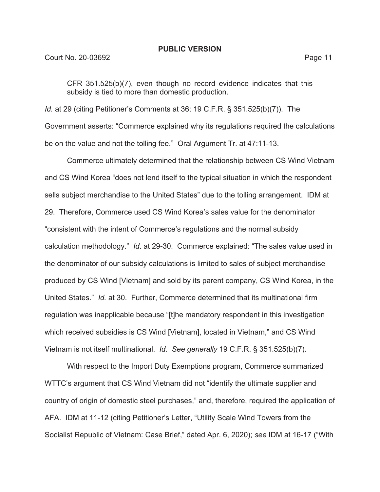CFR 351.525(b)(7), even though no record evidence indicates that this subsidy is tied to more than domestic production.

*Id.* at 29 (citing Petitioner's Comments at 36; 19 C.F.R. § 351.525(b)(7)). The Government asserts: "Commerce explained why its regulations required the calculations be on the value and not the tolling fee." Oral Argument Tr. at 47:11-13.

Commerce ultimately determined that the relationship between CS Wind Vietnam and CS Wind Korea "does not lend itself to the typical situation in which the respondent sells subject merchandise to the United States" due to the tolling arrangement. IDM at 29. Therefore, Commerce used CS Wind Korea's sales value for the denominator "consistent with the intent of Commerce's regulations and the normal subsidy calculation methodology." *Id*. at 29-30. Commerce explained: "The sales value used in the denominator of our subsidy calculations is limited to sales of subject merchandise produced by CS Wind [Vietnam] and sold by its parent company, CS Wind Korea, in the United States." *Id.* at 30. Further, Commerce determined that its multinational firm regulation was inapplicable because "[t]he mandatory respondent in this investigation which received subsidies is CS Wind [Vietnam], located in Vietnam," and CS Wind Vietnam is not itself multinational. *Id. See generally* 19 C.F.R. § 351.525(b)(7).

With respect to the Import Duty Exemptions program, Commerce summarized WTTC's argument that CS Wind Vietnam did not "identify the ultimate supplier and country of origin of domestic steel purchases," and, therefore, required the application of AFA. IDM at 11-12 (citing Petitioner's Letter, "Utility Scale Wind Towers from the Socialist Republic of Vietnam: Case Brief," dated Apr. 6, 2020); *see* IDM at 16-17 ("With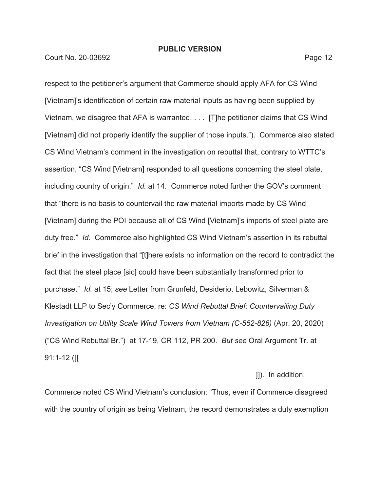respect to the petitioner's argument that Commerce should apply AFA for CS Wind [Vietnam]'s identification of certain raw material inputs as having been supplied by Vietnam, we disagree that AFA is warranted. . . . [T]he petitioner claims that CS Wind [Vietnam] did not properly identify the supplier of those inputs."). Commerce also stated CS Wind Vietnam's comment in the investigation on rebuttal that, contrary to WTTC's assertion, "CS Wind [Vietnam] responded to all questions concerning the steel plate, including country of origin." *Id.* at 14. Commerce noted further the GOV's comment that "there is no basis to countervail the raw material imports made by CS Wind [Vietnam] during the POI because all of CS Wind [Vietnam]'s imports of steel plate are duty free." *Id.* Commerce also highlighted CS Wind Vietnam's assertion in its rebuttal brief in the investigation that "[t]here exists no information on the record to contradict the fact that the steel place [sic] could have been substantially transformed prior to purchase." *Id.* at 15; *see* Letter from Grunfeld, Desiderio, Lebowitz, Silverman & Klestadt LLP to Sec'y Commerce, re: *CS Wind Rebuttal Brief: Countervailing Duty Investigation on Utility Scale Wind Towers from Vietnam (C-552-826)* (Apr. 20, 2020) ("CS Wind Rebuttal Br.") at 17-19, CR 112, PR 200. *But see* Oral Argument Tr. at 91:1-12 ([[

# ]]). In addition,

Commerce noted CS Wind Vietnam's conclusion: "Thus, even if Commerce disagreed with the country of origin as being Vietnam, the record demonstrates a duty exemption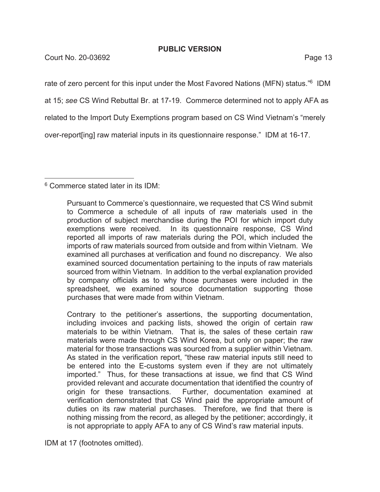**Court No. 20-03692** Page 13

rate of zero percent for this input under the Most Favored Nations (MFN) status."<sup>6</sup> IDM

at 15; *see* CS Wind Rebuttal Br. at 17-19. Commerce determined not to apply AFA as

related to the Import Duty Exemptions program based on CS Wind Vietnam's "merely

over-report[ing] raw material inputs in its questionnaire response." IDM at 16-17.

6 Commerce stated later in its IDM:

Contrary to the petitioner's assertions, the supporting documentation, including invoices and packing lists, showed the origin of certain raw materials to be within Vietnam. That is, the sales of these certain raw materials were made through CS Wind Korea, but only on paper; the raw material for those transactions was sourced from a supplier within Vietnam. As stated in the verification report, "these raw material inputs still need to be entered into the E-customs system even if they are not ultimately imported." Thus, for these transactions at issue, we find that CS Wind provided relevant and accurate documentation that identified the country of origin for these transactions. Further, documentation examined at verification demonstrated that CS Wind paid the appropriate amount of duties on its raw material purchases. Therefore, we find that there is nothing missing from the record, as alleged by the petitioner; accordingly, it is not appropriate to apply AFA to any of CS Wind's raw material inputs.

IDM at 17 (footnotes omitted).

Pursuant to Commerce's questionnaire, we requested that CS Wind submit to Commerce a schedule of all inputs of raw materials used in the production of subject merchandise during the POI for which import duty exemptions were received. In its questionnaire response, CS Wind reported all imports of raw materials during the POI, which included the imports of raw materials sourced from outside and from within Vietnam. We examined all purchases at verification and found no discrepancy. We also examined sourced documentation pertaining to the inputs of raw materials sourced from within Vietnam. In addition to the verbal explanation provided by company officials as to why those purchases were included in the spreadsheet, we examined source documentation supporting those purchases that were made from within Vietnam.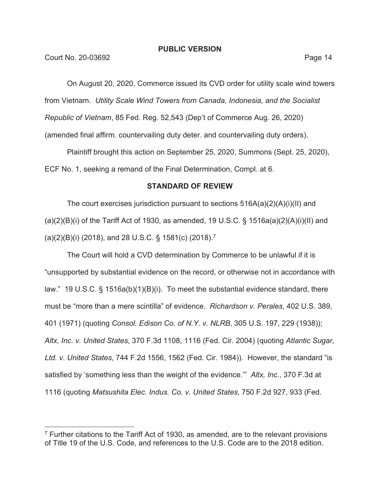On August 20, 2020, Commerce issued its CVD order for utility scale wind towers from Vietnam. *Utility Scale Wind Towers from Canada, Indonesia, and the Socialist Republic of Vietnam*, 85 Fed. Reg. 52,543 (Dep't of Commerce Aug. 26, 2020) (amended final affirm. countervailing duty deter. and countervailing duty orders).

Plaintiff brought this action on September 25, 2020, Summons (Sept. 25, 2020), ECF No. 1, seeking a remand of the Final Determination, Compl. at 6.

# **STANDARD OF REVIEW**

The court exercises jurisdiction pursuant to sections 516A(a)(2)(A)(i)(II) and (a)(2)(B)(i) of the Tariff Act of 1930, as amended, 19 U.S.C. § 1516a(a)(2)(A)(i)(II) and (a)(2)(B)(i) (2018), and 28 U.S.C. § 1581(c) (2018).7

The Court will hold a CVD determination by Commerce to be unlawful if it is "unsupported by substantial evidence on the record, or otherwise not in accordance with law." 19 U.S.C. § 1516a(b)(1)(B)(i). To meet the substantial evidence standard, there must be "more than a mere scintilla" of evidence. *Richardson v. Perales*, 402 U.S. 389, 401 (1971) (quoting *Consol. Edison Co. of N.Y. v. NLRB*, 305 U.S. 197, 229 (1938)); *Altx, Inc. v. United States*, 370 F.3d 1108, 1116 (Fed. Cir. 2004) (quoting *Atlantic Sugar, Ltd. v. United States*, 744 F.2d 1556, 1562 (Fed. Cir. 1984)). However, the standard "is satisfied by 'something less than the weight of the evidence.'" *Altx, Inc.*, 370 F.3d at 1116 (quoting *Matsushita Elec. Indus. Co. v. United States*, 750 F.2d 927, 933 (Fed.

 $7$  Further citations to the Tariff Act of 1930, as amended, are to the relevant provisions of Title 19 of the U.S. Code, and references to the U.S. Code are to the 2018 edition.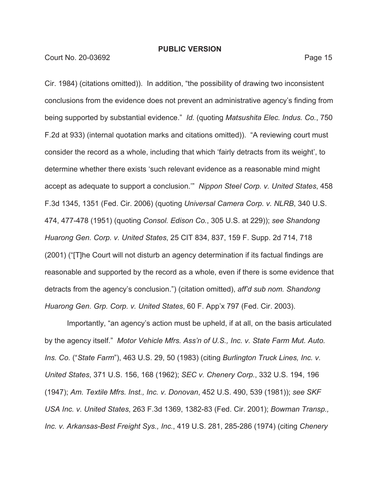Court No. 20-03692 Page 15

Cir. 1984) (citations omitted)). In addition, "the possibility of drawing two inconsistent conclusions from the evidence does not prevent an administrative agency's finding from being supported by substantial evidence." *Id.* (quoting *Matsushita Elec. Indus. Co.*, 750 F.2d at 933) (internal quotation marks and citations omitted)). "A reviewing court must consider the record as a whole, including that which 'fairly detracts from its weight', to determine whether there exists 'such relevant evidence as a reasonable mind might accept as adequate to support a conclusion.'" *Nippon Steel Corp. v. United States*, 458 F.3d 1345, 1351 (Fed. Cir. 2006) (quoting *Universal Camera Corp. v. NLRB*, 340 U.S. 474, 477-478 (1951) (quoting *Consol. Edison Co.*, 305 U.S. at 229)); *see Shandong Huarong Gen. Corp. v. United States*, 25 CIT 834, 837, 159 F. Supp. 2d 714, 718 (2001) ("[T]he Court will not disturb an agency determination if its factual findings are reasonable and supported by the record as a whole, even if there is some evidence that detracts from the agency's conclusion.") (citation omitted), *aff'd sub nom. Shandong Huarong Gen. Grp. Corp. v. United States*, 60 F. App'x 797 (Fed. Cir. 2003).

Importantly, "an agency's action must be upheld, if at all, on the basis articulated by the agency itself." *Motor Vehicle Mfrs. Ass'n of U.S., Inc. v. State Farm Mut. Auto. Ins. Co.* ("*State Farm*"), 463 U.S. 29, 50 (1983) (citing *Burlington Truck Lines, Inc. v. United States*, 371 U.S. 156, 168 (1962); *SEC v. Chenery Corp.*, 332 U.S. 194, 196 (1947); *Am. Textile Mfrs. Inst., Inc. v. Donovan*, 452 U.S. 490, 539 (1981)); *see SKF USA Inc. v. United States*, 263 F.3d 1369, 1382-83 (Fed. Cir. 2001); *Bowman Transp., Inc. v. Arkansas-Best Freight Sys., Inc.*, 419 U.S. 281, 285-286 (1974) (citing *Chenery*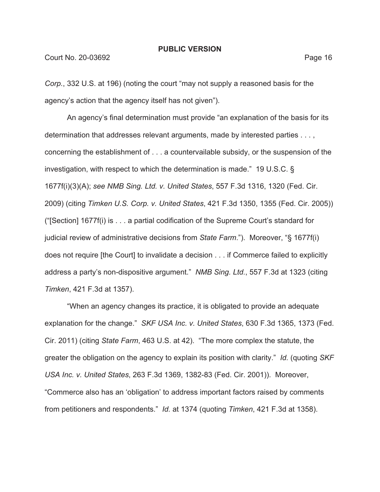*Corp.*, 332 U.S. at 196) (noting the court "may not supply a reasoned basis for the agency's action that the agency itself has not given").

An agency's final determination must provide "an explanation of the basis for its determination that addresses relevant arguments, made by interested parties . . . , concerning the establishment of . . . a countervailable subsidy, or the suspension of the investigation, with respect to which the determination is made." 19 U.S.C. § 1677f(i)(3)(A); *see NMB Sing. Ltd. v. United States*, 557 F.3d 1316, 1320 (Fed. Cir. 2009) (citing *Timken U.S. Corp. v. United States*, 421 F.3d 1350, 1355 (Fed. Cir. 2005)) ("[Section] 1677f(i) is . . . a partial codification of the Supreme Court's standard for judicial review of administrative decisions from *State Farm*."). Moreover, "§ 1677f(i) does not require [the Court] to invalidate a decision . . . if Commerce failed to explicitly address a party's non-dispositive argument." *NMB Sing. Ltd.*, 557 F.3d at 1323 (citing *Timken*, 421 F.3d at 1357).

"When an agency changes its practice, it is obligated to provide an adequate explanation for the change." *SKF USA Inc. v. United States*, 630 F.3d 1365, 1373 (Fed. Cir. 2011) (citing *State Farm*, 463 U.S. at 42). "The more complex the statute, the greater the obligation on the agency to explain its position with clarity." *Id.* (quoting *SKF USA Inc. v. United States*, 263 F.3d 1369, 1382-83 (Fed. Cir. 2001)). Moreover, "Commerce also has an 'obligation' to address important factors raised by comments from petitioners and respondents." *Id.* at 1374 (quoting *Timken*, 421 F.3d at 1358).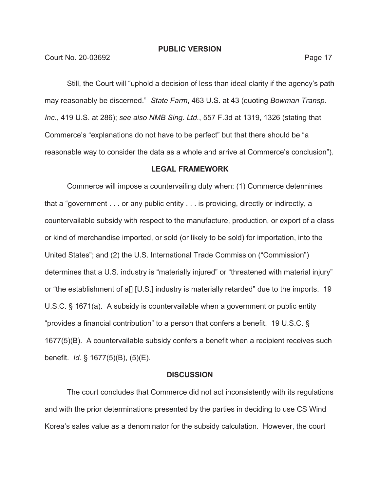Court No. 20-03692 Page 17

Still, the Court will "uphold a decision of less than ideal clarity if the agency's path may reasonably be discerned." *State Farm*, 463 U.S. at 43 (quoting *Bowman Transp. Inc.*, 419 U.S. at 286); *see also NMB Sing. Ltd.*, 557 F.3d at 1319, 1326 (stating that Commerce's "explanations do not have to be perfect" but that there should be "a reasonable way to consider the data as a whole and arrive at Commerce's conclusion").

#### **LEGAL FRAMEWORK**

Commerce will impose a countervailing duty when: (1) Commerce determines that a "government . . . or any public entity . . . is providing, directly or indirectly, a countervailable subsidy with respect to the manufacture, production, or export of a class or kind of merchandise imported, or sold (or likely to be sold) for importation, into the United States"; and (2) the U.S. International Trade Commission ("Commission") determines that a U.S. industry is "materially injured" or "threatened with material injury" or "the establishment of a[] [U.S.] industry is materially retarded" due to the imports. 19 U.S.C. § 1671(a). A subsidy is countervailable when a government or public entity "provides a financial contribution" to a person that confers a benefit. 19 U.S.C. § 1677(5)(B). A countervailable subsidy confers a benefit when a recipient receives such benefit. *Id.* § 1677(5)(B), (5)(E).

#### **DISCUSSION**

The court concludes that Commerce did not act inconsistently with its regulations and with the prior determinations presented by the parties in deciding to use CS Wind Korea's sales value as a denominator for the subsidy calculation. However, the court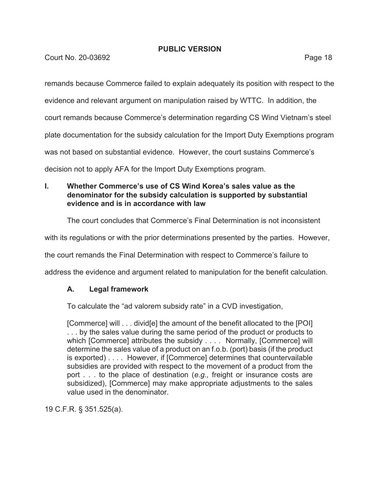**Court No. 20-03692** Page 18

remands because Commerce failed to explain adequately its position with respect to the

evidence and relevant argument on manipulation raised by WTTC. In addition, the

court remands because Commerce's determination regarding CS Wind Vietnam's steel

plate documentation for the subsidy calculation for the Import Duty Exemptions program

was not based on substantial evidence. However, the court sustains Commerce's

decision not to apply AFA for the Import Duty Exemptions program.

# **I. Whether Commerce's use of CS Wind Korea's sales value as the denominator for the subsidy calculation is supported by substantial evidence and is in accordance with law**

The court concludes that Commerce's Final Determination is not inconsistent

with its regulations or with the prior determinations presented by the parties. However,

the court remands the Final Determination with respect to Commerce's failure to

address the evidence and argument related to manipulation for the benefit calculation.

# **A. Legal framework**

To calculate the "ad valorem subsidy rate" in a CVD investigation,

[Commerce] will . . . divid[e] the amount of the benefit allocated to the [POI] ... by the sales value during the same period of the product or products to which [Commerce] attributes the subsidy . . . . Normally, [Commerce] will determine the sales value of a product on an f.o.b. (port) basis (if the product is exported) . . . . However, if [Commerce] determines that countervailable subsidies are provided with respect to the movement of a product from the port . . . to the place of destination (*e.g.,* freight or insurance costs are subsidized), [Commerce] may make appropriate adjustments to the sales value used in the denominator.

19 C.F.R. § 351.525(a).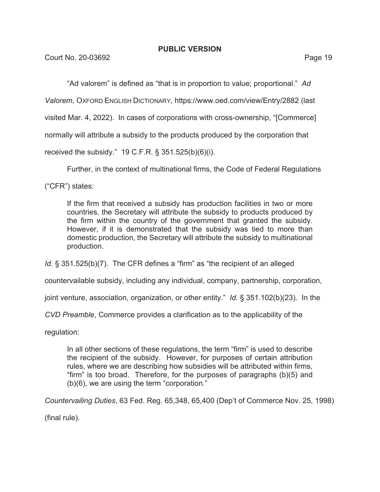"Ad valorem" is defined as "that is in proportion to value; proportional." *Ad* 

*Valorem*, OXFORD ENGLISH DICTIONARY, https://www.oed.com/view/Entry/2882 (last

visited Mar. 4, 2022). In cases of corporations with cross-ownership, "[Commerce]

normally will attribute a subsidy to the products produced by the corporation that

received the subsidy." 19 C.F.R. § 351.525(b)(6)(i).

Further, in the context of multinational firms, the Code of Federal Regulations

("CFR") states:

If the firm that received a subsidy has production facilities in two or more countries, the Secretary will attribute the subsidy to products produced by the firm within the country of the government that granted the subsidy. However, if it is demonstrated that the subsidy was tied to more than domestic production, the Secretary will attribute the subsidy to multinational production.

*Id.* § 351.525(b)(7). The CFR defines a "firm" as "the recipient of an alleged

countervailable subsidy, including any individual, company, partnership, corporation,

joint venture, association, organization, or other entity." *Id.* § 351.102(b)(23). In the

*CVD Preamble*, Commerce provides a clarification as to the applicability of the

regulation:

In all other sections of these regulations, the term "firm" is used to describe the recipient of the subsidy. However, for purposes of certain attribution rules, where we are describing how subsidies will be attributed within firms, "firm" is too broad. Therefore, for the purposes of paragraphs (b)(5) and (b)(6), we are using the term "corporation."

*Countervailing Duties*, 63 Fed. Reg. 65,348, 65,400 (Dep't of Commerce Nov. 25, 1998)

(final rule).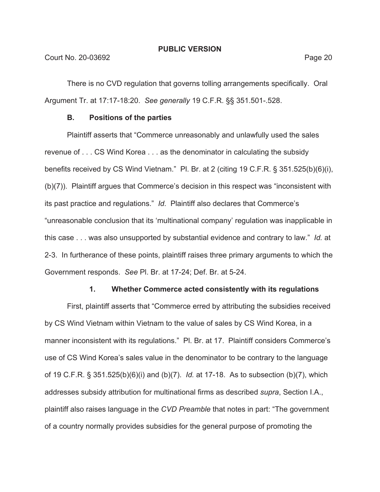There is no CVD regulation that governs tolling arrangements specifically. Oral Argument Tr. at 17:17-18:20. *See generally* 19 C.F.R. §§ 351.501-.528.

#### **B. Positions of the parties**

Plaintiff asserts that "Commerce unreasonably and unlawfully used the sales revenue of . . . CS Wind Korea . . . as the denominator in calculating the subsidy benefits received by CS Wind Vietnam." Pl. Br. at 2 (citing 19 C.F.R. § 351.525(b)(6)(i), (b)(7)). Plaintiff argues that Commerce's decision in this respect was "inconsistent with its past practice and regulations." *Id*. Plaintiff also declares that Commerce's "unreasonable conclusion that its 'multinational company' regulation was inapplicable in this case . . . was also unsupported by substantial evidence and contrary to law." *Id.* at 2-3. In furtherance of these points, plaintiff raises three primary arguments to which the Government responds. *See* Pl. Br. at 17-24; Def. Br. at 5-24.

#### **1. Whether Commerce acted consistently with its regulations**

First, plaintiff asserts that "Commerce erred by attributing the subsidies received by CS Wind Vietnam within Vietnam to the value of sales by CS Wind Korea, in a manner inconsistent with its regulations." Pl. Br. at 17. Plaintiff considers Commerce's use of CS Wind Korea's sales value in the denominator to be contrary to the language of 19 C.F.R. § 351.525(b)(6)(i) and (b)(7). *Id.* at 17-18. As to subsection (b)(7), which addresses subsidy attribution for multinational firms as described *supra*, Section I.A., plaintiff also raises language in the *CVD Preamble* that notes in part: "The government of a country normally provides subsidies for the general purpose of promoting the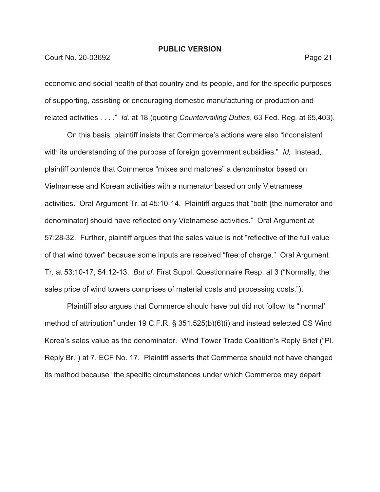#### Court No. 20-03692 **Page 21**

economic and social health of that country and its people, and for the specific purposes of supporting, assisting or encouraging domestic manufacturing or production and related activities . . . ." *Id.* at 18 (quoting *Countervailing Duties*, 63 Fed. Reg. at 65,403).

On this basis, plaintiff insists that Commerce's actions were also "inconsistent with its understanding of the purpose of foreign government subsidies." *Id.* Instead, plaintiff contends that Commerce "mixes and matches" a denominator based on Vietnamese and Korean activities with a numerator based on only Vietnamese activities. Oral Argument Tr. at 45:10-14. Plaintiff argues that "both [the numerator and denominator] should have reflected only Vietnamese activities." Oral Argument at 57:28-32. Further, plaintiff argues that the sales value is not "reflective of the full value of that wind tower" because some inputs are received "free of charge." Oral Argument Tr. at 53:10-17, 54:12-13. *But cf.* First Suppl. Questionnaire Resp. at 3 ("Normally, the sales price of wind towers comprises of material costs and processing costs.").

Plaintiff also argues that Commerce should have but did not follow its "'normal' method of attribution" under 19 C.F.R. § 351.525(b)(6)(i) and instead selected CS Wind Korea's sales value as the denominator. Wind Tower Trade Coalition's Reply Brief ("Pl. Reply Br.") at 7, ECF No. 17. Plaintiff asserts that Commerce should not have changed its method because "the specific circumstances under which Commerce may depart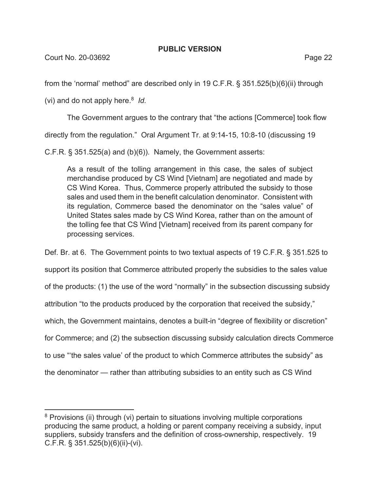Court No. 20-03692 Page 22

from the 'normal' method" are described only in 19 C.F.R. § 351.525(b)(6)(ii) through

(vi) and do not apply here.8 *Id.*

The Government argues to the contrary that "the actions [Commerce] took flow

directly from the regulation." Oral Argument Tr. at 9:14-15, 10:8-10 (discussing 19

C.F.R. § 351.525(a) and (b)(6)). Namely, the Government asserts:

As a result of the tolling arrangement in this case, the sales of subject merchandise produced by CS Wind [Vietnam] are negotiated and made by CS Wind Korea. Thus, Commerce properly attributed the subsidy to those sales and used them in the benefit calculation denominator. Consistent with its regulation, Commerce based the denominator on the "sales value" of United States sales made by CS Wind Korea, rather than on the amount of the tolling fee that CS Wind [Vietnam] received from its parent company for processing services.

Def. Br. at 6. The Government points to two textual aspects of 19 C.F.R. § 351.525 to support its position that Commerce attributed properly the subsidies to the sales value of the products: (1) the use of the word "normally" in the subsection discussing subsidy attribution "to the products produced by the corporation that received the subsidy," which, the Government maintains, denotes a built-in "degree of flexibility or discretion" for Commerce; and (2) the subsection discussing subsidy calculation directs Commerce to use "'the sales value' of the product to which Commerce attributes the subsidy" as the denominator — rather than attributing subsidies to an entity such as CS Wind

<sup>&</sup>lt;sup>8</sup> Provisions (ii) through (vi) pertain to situations involving multiple corporations producing the same product, a holding or parent company receiving a subsidy, input suppliers, subsidy transfers and the definition of cross-ownership, respectively. 19 C.F.R. § 351.525(b)(6)(ii)-(vi).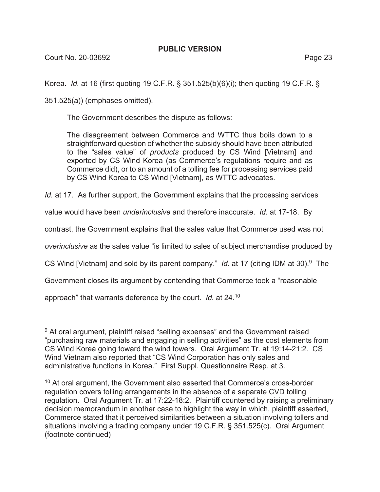Korea. *Id.* at 16 (first quoting 19 C.F.R. § 351.525(b)(6)(i); then quoting 19 C.F.R. §

351.525(a)) (emphases omitted).

The Government describes the dispute as follows:

The disagreement between Commerce and WTTC thus boils down to a straightforward question of whether the subsidy should have been attributed to the "sales value" of *products* produced by CS Wind [Vietnam] and exported by CS Wind Korea (as Commerce's regulations require and as Commerce did), or to an amount of a tolling fee for processing services paid by CS Wind Korea to CS Wind [Vietnam], as WTTC advocates.

*Id.* at 17. As further support, the Government explains that the processing services

value would have been *underinclusive* and therefore inaccurate. *Id.* at 17-18.By

contrast, the Government explains that the sales value that Commerce used was not

*overinclusive* as the sales value "is limited to sales of subject merchandise produced by

CS Wind [Vietnam] and sold by its parent company." *Id.* at 17 (citing IDM at 30).9 The

Government closes its argument by contending that Commerce took a "reasonable

approach" that warrants deference by the court. *Id.* at 24.10

<sup>&</sup>lt;sup>9</sup> At oral argument, plaintiff raised "selling expenses" and the Government raised "purchasing raw materials and engaging in selling activities" as the cost elements from CS Wind Korea going toward the wind towers. Oral Argument Tr. at 19:14-21:2. CS Wind Vietnam also reported that "CS Wind Corporation has only sales and administrative functions in Korea." First Suppl. Questionnaire Resp. at 3.

<sup>&</sup>lt;sup>10</sup> At oral argument, the Government also asserted that Commerce's cross-border regulation covers tolling arrangements in the absence of a separate CVD tolling regulation. Oral Argument Tr. at 17:22-18:2. Plaintiff countered by raising a preliminary decision memorandum in another case to highlight the way in which, plaintiff asserted, Commerce stated that it perceived similarities between a situation involving tollers and situations involving a trading company under 19 C.F.R. § 351.525(c). Oral Argument (footnote continued)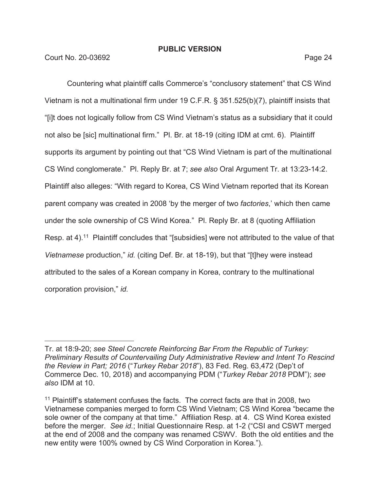Court No. 20-03692 Page 24

Countering what plaintiff calls Commerce's "conclusory statement" that CS Wind Vietnam is not a multinational firm under 19 C.F.R. § 351.525(b)(7), plaintiff insists that "[i]t does not logically follow from CS Wind Vietnam's status as a subsidiary that it could not also be [sic] multinational firm." Pl. Br. at 18-19 (citing IDM at cmt. 6). Plaintiff supports its argument by pointing out that "CS Wind Vietnam is part of the multinational CS Wind conglomerate." Pl. Reply Br. at 7; *see also* Oral Argument Tr. at 13:23-14:2. Plaintiff also alleges: "With regard to Korea, CS Wind Vietnam reported that its Korean parent company was created in 2008 'by the merger of two *factories*,' which then came under the sole ownership of CS Wind Korea." Pl. Reply Br. at 8 (quoting Affiliation Resp. at 4).<sup>11</sup> Plaintiff concludes that "[subsidies] were not attributed to the value of that *Vietnamese* production," *id.* (citing Def. Br. at 18-19), but that "[t]hey were instead attributed to the sales of a Korean company in Korea, contrary to the multinational corporation provision," *id.* 

Tr. at 18:9-20; *see Steel Concrete Reinforcing Bar From the Republic of Turkey: Preliminary Results of Countervailing Duty Administrative Review and Intent To Rescind the Review in Part; 2016* ("*Turkey Rebar 2018*"), 83 Fed. Reg. 63,472 (Dep't of Commerce Dec. 10, 2018) and accompanying PDM ("*Turkey Rebar 2018* PDM"); *see also* IDM at 10.

<sup>&</sup>lt;sup>11</sup> Plaintiff's statement confuses the facts. The correct facts are that in 2008, two Vietnamese companies merged to form CS Wind Vietnam; CS Wind Korea "became the sole owner of the company at that time." Affiliation Resp. at 4. CS Wind Korea existed before the merger. *See id.*; Initial Questionnaire Resp. at 1-2 ("CSI and CSWT merged at the end of 2008 and the company was renamed CSWV. Both the old entities and the new entity were 100% owned by CS Wind Corporation in Korea.").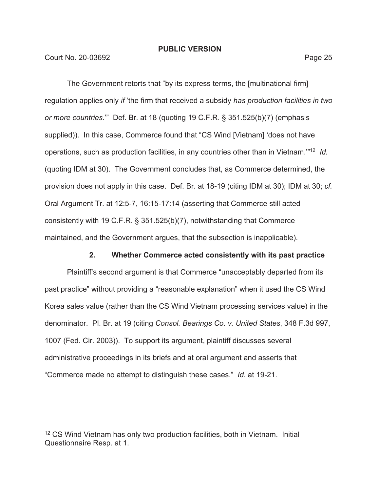**Court No. 20-03692** Page 25

The Government retorts that "by its express terms, the [multinational firm] regulation applies only *if* 'the firm that received a subsidy *has production facilities in two or more countries*.'" Def. Br. at 18 (quoting 19 C.F.R. § 351.525(b)(7) (emphasis supplied)). In this case, Commerce found that "CS Wind [Vietnam] 'does not have operations, such as production facilities, in any countries other than in Vietnam.'"12 *Id.*  (quoting IDM at 30). The Government concludes that, as Commerce determined, the provision does not apply in this case. Def. Br. at 18-19 (citing IDM at 30); IDM at 30; *cf.*  Oral Argument Tr. at 12:5-7, 16:15-17:14 (asserting that Commerce still acted consistently with 19 C.F.R. § 351.525(b)(7), notwithstanding that Commerce maintained, and the Government argues, that the subsection is inapplicable).

# **2. Whether Commerce acted consistently with its past practice**

Plaintiff's second argument is that Commerce "unacceptably departed from its past practice" without providing a "reasonable explanation" when it used the CS Wind Korea sales value (rather than the CS Wind Vietnam processing services value) in the denominator. Pl. Br. at 19 (citing *Consol. Bearings Co. v. United States*, 348 F.3d 997, 1007 (Fed. Cir. 2003)). To support its argument, plaintiff discusses several administrative proceedings in its briefs and at oral argument and asserts that "Commerce made no attempt to distinguish these cases." *Id.* at 19-21.

<sup>&</sup>lt;sup>12</sup> CS Wind Vietnam has only two production facilities, both in Vietnam. Initial Questionnaire Resp. at 1.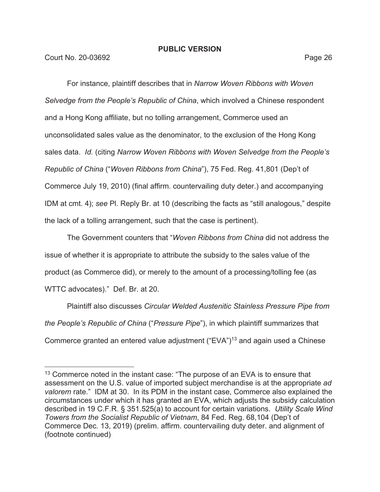For instance, plaintiff describes that in *Narrow Woven Ribbons with Woven Selvedge from the People's Republic of China*, which involved a Chinese respondent and a Hong Kong affiliate, but no tolling arrangement, Commerce used an unconsolidated sales value as the denominator, to the exclusion of the Hong Kong sales data. *Id.* (citing *Narrow Woven Ribbons with Woven Selvedge from the People's Republic of China* ("*Woven Ribbons from China*"), 75 Fed. Reg. 41,801 (Dep't of Commerce July 19, 2010) (final affirm. countervailing duty deter.) and accompanying IDM at cmt. 4); *see* Pl. Reply Br. at 10 (describing the facts as "still analogous," despite the lack of a tolling arrangement, such that the case is pertinent).

The Government counters that "*Woven Ribbons from China* did not address the issue of whether it is appropriate to attribute the subsidy to the sales value of the product (as Commerce did), or merely to the amount of a processing/tolling fee (as WTTC advocates)." Def. Br. at 20.

Plaintiff also discusses *Circular Welded Austenitic Stainless Pressure Pipe from the People's Republic of China* ("*Pressure Pipe*"), in which plaintiff summarizes that Commerce granted an entered value adjustment ("EVA")13 and again used a Chinese

 $13$  Commerce noted in the instant case: "The purpose of an EVA is to ensure that assessment on the U.S. value of imported subject merchandise is at the appropriate *ad valorem* rate." IDM at 30. In its PDM in the instant case, Commerce also explained the circumstances under which it has granted an EVA, which adjusts the subsidy calculation described in 19 C.F.R. § 351.525(a) to account for certain variations. *Utility Scale Wind Towers from the Socialist Republic of Vietnam*, 84 Fed. Reg. 68,104 (Dep't of Commerce Dec. 13, 2019) (prelim. affirm. countervailing duty deter. and alignment of (footnote continued)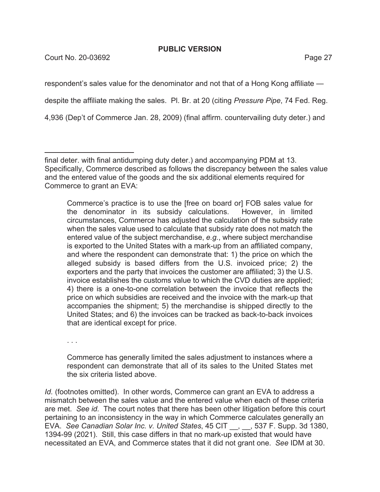Court No. 20-03692 **Page 27** 

respondent's sales value for the denominator and not that of a Hong Kong affiliate despite the affiliate making the sales. Pl. Br. at 20 (citing *Pressure Pipe*, 74 Fed. Reg.

4,936 (Dep't of Commerce Jan. 28, 2009) (final affirm. countervailing duty deter.) and

Commerce's practice is to use the [free on board or] FOB sales value for the denominator in its subsidy calculations. However, in limited circumstances, Commerce has adjusted the calculation of the subsidy rate when the sales value used to calculate that subsidy rate does not match the entered value of the subject merchandise, *e.g.*, where subject merchandise is exported to the United States with a mark-up from an affiliated company, and where the respondent can demonstrate that: 1) the price on which the alleged subsidy is based differs from the U.S. invoiced price; 2) the exporters and the party that invoices the customer are affiliated; 3) the U.S. invoice establishes the customs value to which the CVD duties are applied; 4) there is a one-to-one correlation between the invoice that reflects the price on which subsidies are received and the invoice with the mark-up that accompanies the shipment; 5) the merchandise is shipped directly to the United States; and 6) the invoices can be tracked as back-to-back invoices that are identical except for price.

. . .

Commerce has generally limited the sales adjustment to instances where a respondent can demonstrate that all of its sales to the United States met the six criteria listed above.

*Id.* (footnotes omitted). In other words, Commerce can grant an EVA to address a mismatch between the sales value and the entered value when each of these criteria are met. *See id.* The court notes that there has been other litigation before this court pertaining to an inconsistency in the way in which Commerce calculates generally an EVA. *See Canadian Solar Inc. v. United States*, 45 CIT \_\_, \_\_, 537 F. Supp. 3d 1380, 1394-99 (2021). Still, this case differs in that no mark-up existed that would have necessitated an EVA, and Commerce states that it did not grant one. *See* IDM at 30.

final deter. with final antidumping duty deter.) and accompanying PDM at 13. Specifically, Commerce described as follows the discrepancy between the sales value and the entered value of the goods and the six additional elements required for Commerce to grant an EVA: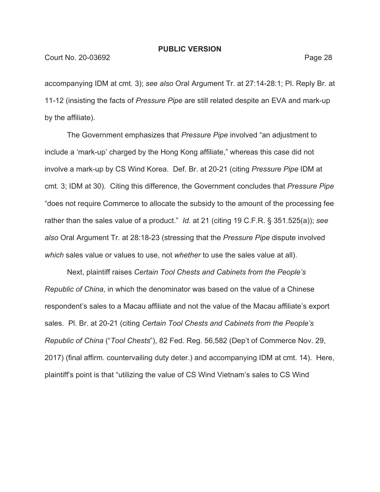accompanying IDM at cmt. 3); *see also* Oral Argument Tr. at 27:14-28:1; Pl. Reply Br. at 11-12 (insisting the facts of *Pressure Pipe* are still related despite an EVA and mark-up by the affiliate).

The Government emphasizes that *Pressure Pipe* involved "an adjustment to include a 'mark-up' charged by the Hong Kong affiliate," whereas this case did not involve a mark-up by CS Wind Korea. Def. Br. at 20-21 (citing *Pressure Pipe* IDM at cmt. 3; IDM at 30). Citing this difference, the Government concludes that *Pressure Pipe* "does not require Commerce to allocate the subsidy to the amount of the processing fee rather than the sales value of a product." *Id.* at 21 (citing 19 C.F.R. § 351.525(a)); *see also* Oral Argument Tr. at 28:18-23 (stressing that the *Pressure Pipe* dispute involved *which* sales value or values to use, not *whether* to use the sales value at all).

Next, plaintiff raises *Certain Tool Chests and Cabinets from the People's Republic of China*, in which the denominator was based on the value of a Chinese respondent's sales to a Macau affiliate and not the value of the Macau affiliate's export sales. Pl. Br. at 20-21 (citing *Certain Tool Chests and Cabinets from the People's Republic of China* ("*Tool Chests*"), 82 Fed. Reg. 56,582 (Dep't of Commerce Nov. 29, 2017) (final affirm. countervailing duty deter.) and accompanying IDM at cmt. 14). Here, plaintiff's point is that "utilizing the value of CS Wind Vietnam's sales to CS Wind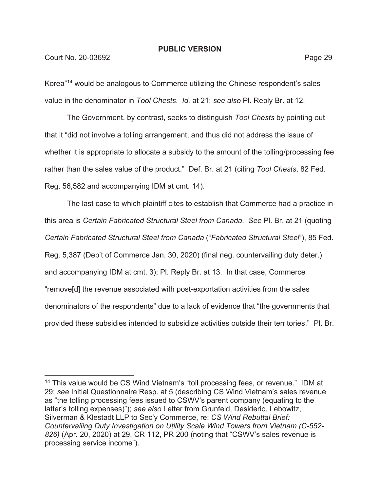# Court No. 20-03692 Page 29

Korea"14 would be analogous to Commerce utilizing the Chinese respondent's sales value in the denominator in *Tool Chests*. *Id.* at 21; *see also* Pl. Reply Br. at 12.

The Government, by contrast, seeks to distinguish *Tool Chests* by pointing out that it "did not involve a tolling arrangement, and thus did not address the issue of whether it is appropriate to allocate a subsidy to the amount of the tolling/processing fee rather than the sales value of the product." Def. Br. at 21 (citing *Tool Chests*, 82 Fed. Reg. 56,582 and accompanying IDM at cmt. 14).

The last case to which plaintiff cites to establish that Commerce had a practice in this area is *Certain Fabricated Structural Steel from Canada*. *See* Pl. Br. at 21 (quoting *Certain Fabricated Structural Steel from Canada* ("*Fabricated Structural Steel*"), 85 Fed. Reg. 5,387 (Dep't of Commerce Jan. 30, 2020) (final neg. countervailing duty deter.) and accompanying IDM at cmt. 3); Pl. Reply Br. at 13. In that case, Commerce "remove[d] the revenue associated with post-exportation activities from the sales denominators of the respondents" due to a lack of evidence that "the governments that provided these subsidies intended to subsidize activities outside their territories." Pl. Br.

<sup>&</sup>lt;sup>14</sup> This value would be CS Wind Vietnam's "toll processing fees, or revenue." IDM at 29; *see* Initial Questionnaire Resp. at 5 (describing CS Wind Vietnam's sales revenue as "the tolling processing fees issued to CSWV's parent company (equating to the latter's tolling expenses)"); *see also* Letter from Grunfeld, Desiderio, Lebowitz, Silverman & Klestadt LLP to Sec'y Commerce, re: *CS Wind Rebuttal Brief: Countervailing Duty Investigation on Utility Scale Wind Towers from Vietnam (C-552- 826)* (Apr. 20, 2020) at 29, CR 112, PR 200 (noting that "CSWV's sales revenue is processing service income").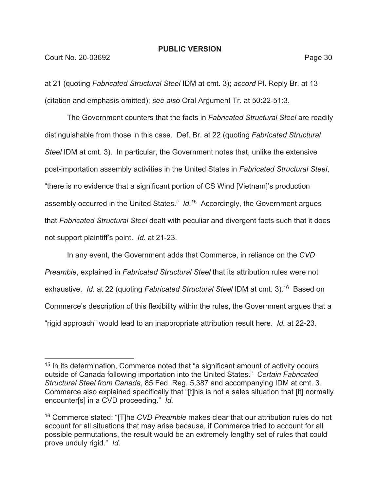# Court No. 20-03692 Page 30

at 21 (quoting *Fabricated Structural Steel* IDM at cmt. 3); *accord* Pl. Reply Br. at 13 (citation and emphasis omitted); *see also* Oral Argument Tr. at 50:22-51:3.

The Government counters that the facts in *Fabricated Structural Steel* are readily distinguishable from those in this case. Def. Br. at 22 (quoting *Fabricated Structural Steel* IDM at cmt. 3). In particular, the Government notes that, unlike the extensive post-importation assembly activities in the United States in *Fabricated Structural Steel*, "there is no evidence that a significant portion of CS Wind [Vietnam]'s production assembly occurred in the United States." *Id.*15 Accordingly, the Government argues that *Fabricated Structural Steel* dealt with peculiar and divergent facts such that it does not support plaintiff's point. *Id.* at 21-23.

In any event, the Government adds that Commerce, in reliance on the *CVD Preamble*, explained in *Fabricated Structural Steel* that its attribution rules were not exhaustive. *Id.* at 22 (quoting *Fabricated Structural Steel* IDM at cmt. 3).16 Based on Commerce's description of this flexibility within the rules, the Government argues that a "rigid approach" would lead to an inappropriate attribution result here. *Id.* at 22-23.

<sup>&</sup>lt;sup>15</sup> In its determination, Commerce noted that "a significant amount of activity occurs outside of Canada following importation into the United States." *Certain Fabricated Structural Steel from Canada*, 85 Fed. Reg. 5,387 and accompanying IDM at cmt. 3. Commerce also explained specifically that "[t]his is not a sales situation that [it] normally encounter[s] in a CVD proceeding." *Id.* 

<sup>16</sup> Commerce stated: "[T]he *CVD Preamble* makes clear that our attribution rules do not account for all situations that may arise because, if Commerce tried to account for all possible permutations, the result would be an extremely lengthy set of rules that could prove unduly rigid." *Id.*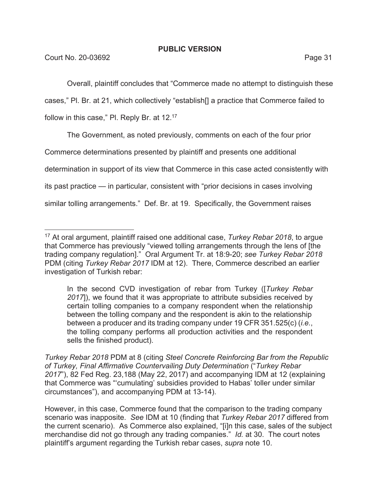Overall, plaintiff concludes that "Commerce made no attempt to distinguish these

cases," Pl. Br. at 21, which collectively "establish[] a practice that Commerce failed to

follow in this case," Pl. Reply Br. at 12.<sup>17</sup>

The Government, as noted previously, comments on each of the four prior

Commerce determinations presented by plaintiff and presents one additional

determination in support of its view that Commerce in this case acted consistently with

its past practice — in particular, consistent with "prior decisions in cases involving

similar tolling arrangements." Def. Br. at 19. Specifically, the Government raises

*Turkey Rebar 2018* PDM at 8 (citing *Steel Concrete Reinforcing Bar from the Republic of Turkey, Final Affirmative Countervailing Duty Determination* ("*Turkey Rebar 2017*"), 82 Fed Reg. 23,188 (May 22, 2017) and accompanying IDM at 12 (explaining that Commerce was "'cumulating' subsidies provided to Habas' toller under similar circumstances"), and accompanying PDM at 13-14).

However, in this case, Commerce found that the comparison to the trading company scenario was inapposite. *See* IDM at 10 (finding that *Turkey Rebar 2017* differed from the current scenario). As Commerce also explained, "[i]n this case, sales of the subject merchandise did not go through any trading companies." *Id.* at 30. The court notes plaintiff's argument regarding the Turkish rebar cases, *supra* note 10.

<sup>17</sup> At oral argument, plaintiff raised one additional case, *Turkey Rebar 2018*, to argue that Commerce has previously "viewed tolling arrangements through the lens of [the trading company regulation]." Oral Argument Tr. at 18:9-20; *see Turkey Rebar 2018*  PDM (citing *Turkey Rebar 2017* IDM at 12). There, Commerce described an earlier investigation of Turkish rebar:

In the second CVD investigation of rebar from Turkey ([*Turkey Rebar 2017*]), we found that it was appropriate to attribute subsidies received by certain tolling companies to a company respondent when the relationship between the tolling company and the respondent is akin to the relationship between a producer and its trading company under 19 CFR 351.525(c) (*i.e.*, the tolling company performs all production activities and the respondent sells the finished product).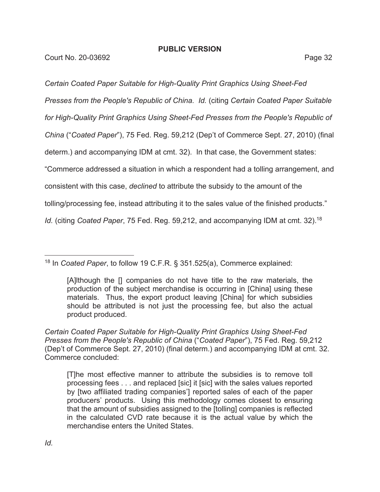*Certain Coated Paper Suitable for High-Quality Print Graphics Using Sheet-Fed* 

*Presses from the People's Republic of China*. *Id.* (citing *Certain Coated Paper Suitable* 

*for High-Quality Print Graphics Using Sheet-Fed Presses from the People's Republic of* 

*China* ("*Coated Paper*"), 75 Fed. Reg. 59,212 (Dep't of Commerce Sept. 27, 2010) (final

determ.) and accompanying IDM at cmt. 32). In that case, the Government states:

"Commerce addressed a situation in which a respondent had a tolling arrangement, and

consistent with this case, *declined* to attribute the subsidy to the amount of the

tolling/processing fee, instead attributing it to the sales value of the finished products."

*Id.* (citing *Coated Paper*, 75 Fed. Reg. 59,212, and accompanying IDM at cmt. 32).<sup>18</sup>

18 In *Coated Paper*, to follow 19 C.F.R. § 351.525(a), Commerce explained:

*Certain Coated Paper Suitable for High-Quality Print Graphics Using Sheet-Fed Presses from the People's Republic of China* ("*Coated Paper*"), 75 Fed. Reg. 59,212 (Dep't of Commerce Sept. 27, 2010) (final determ.) and accompanying IDM at cmt. 32. Commerce concluded:

<sup>[</sup>A]lthough the [] companies do not have title to the raw materials, the production of the subject merchandise is occurring in [China] using these materials. Thus, the export product leaving [China] for which subsidies should be attributed is not just the processing fee, but also the actual product produced.

<sup>[</sup>T]he most effective manner to attribute the subsidies is to remove toll processing fees . . . and replaced [sic] it [sic] with the sales values reported by [two affiliated trading companies'] reported sales of each of the paper producers' products. Using this methodology comes closest to ensuring that the amount of subsidies assigned to the [tolling] companies is reflected in the calculated CVD rate because it is the actual value by which the merchandise enters the United States.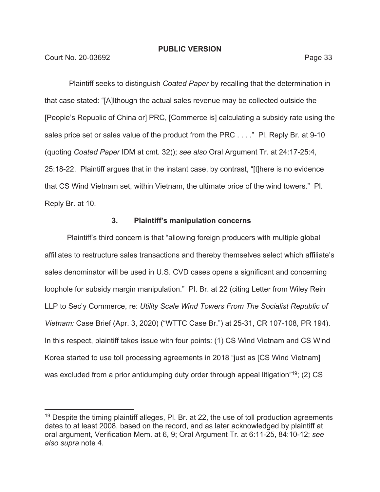Court No. 20-03692 Page 33

 Plaintiff seeks to distinguish *Coated Paper* by recalling that the determination in that case stated: "[A]lthough the actual sales revenue may be collected outside the [People's Republic of China or] PRC, [Commerce is] calculating a subsidy rate using the sales price set or sales value of the product from the PRC . . . ." PI. Reply Br. at 9-10 (quoting *Coated Paper* IDM at cmt. 32)); *see also* Oral Argument Tr. at 24:17-25:4, 25:18-22. Plaintiff argues that in the instant case, by contrast, "[t]here is no evidence that CS Wind Vietnam set, within Vietnam, the ultimate price of the wind towers." Pl. Reply Br. at 10.

# **3. Plaintiff's manipulation concerns**

Plaintiff's third concern is that "allowing foreign producers with multiple global affiliates to restructure sales transactions and thereby themselves select which affiliate's sales denominator will be used in U.S. CVD cases opens a significant and concerning loophole for subsidy margin manipulation." Pl. Br. at 22 (citing Letter from Wiley Rein LLP to Sec'y Commerce, re: *Utility Scale Wind Towers From The Socialist Republic of Vietnam:* Case Brief (Apr. 3, 2020) ("WTTC Case Br.") at 25-31, CR 107-108, PR 194). In this respect, plaintiff takes issue with four points: (1) CS Wind Vietnam and CS Wind Korea started to use toll processing agreements in 2018 "just as [CS Wind Vietnam] was excluded from a prior antidumping duty order through appeal litigation"<sup>19</sup>; (2) CS

 $19$  Despite the timing plaintiff alleges, Pl. Br. at 22, the use of toll production agreements dates to at least 2008, based on the record, and as later acknowledged by plaintiff at oral argument, Verification Mem. at 6, 9; Oral Argument Tr. at 6:11-25, 84:10-12; *see also supra* note 4.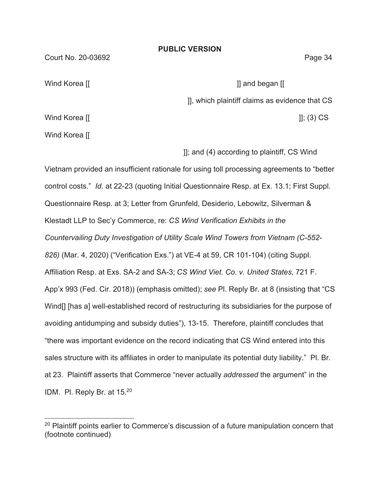Court No. 20-03692 Page 34

Wind Korea [[ ]] and began [[

]], which plaintiff claims as evidence that CS

Wind Korea  $\left[\left[\right]$  []; (3) CS

Wind Korea [[

]]; and (4) according to plaintiff, CS Wind

Vietnam provided an insufficient rationale for using toll processing agreements to "better control costs." *Id.* at 22-23 (quoting Initial Questionnaire Resp. at Ex. 13.1; First Suppl. Questionnaire Resp. at 3; Letter from Grunfeld, Desiderio, Lebowitz, Silverman & Klestadt LLP to Sec'y Commerce, re: *CS Wind Verification Exhibits in the Countervailing Duty Investigation of Utility Scale Wind Towers from Vietnam (C-552- 826)* (Mar. 4, 2020) ("Verification Exs.") at VE-4 at 59, CR 101-104) (citing Suppl. Affiliation Resp. at Exs. SA-2 and SA-3; *CS Wind Viet. Co. v. United States*, 721 F. App'x 993 (Fed. Cir. 2018)) (emphasis omitted); *see* Pl. Reply Br. at 8 (insisting that "CS Wind[] [has a] well-established record of restructuring its subsidiaries for the purpose of avoiding antidumping and subsidy duties"), 13-15. Therefore, plaintiff concludes that "there was important evidence on the record indicating that CS Wind entered into this sales structure with its affiliates in order to manipulate its potential duty liability." Pl. Br. at 23.Plaintiff asserts that Commerce "never actually *addressed* the argument" in the IDM. Pl. Reply Br. at 15.20

**PUBLIC VERSION** 

 $20$  Plaintiff points earlier to Commerce's discussion of a future manipulation concern that (footnote continued)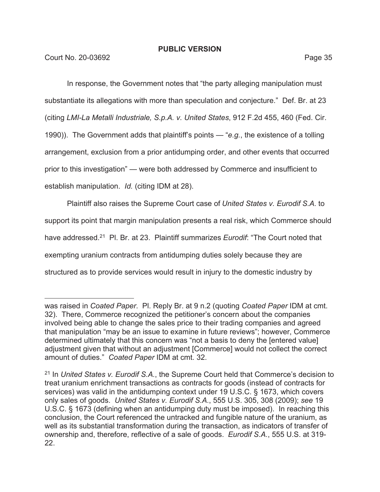In response, the Government notes that "the party alleging manipulation must substantiate its allegations with more than speculation and conjecture." Def. Br. at 23 (citing *LMI-La Metalli Industriale, S.p.A. v. United States*, 912 F.2d 455, 460 (Fed. Cir. 1990)). The Government adds that plaintiff's points — "*e.g.*, the existence of a tolling arrangement, exclusion from a prior antidumping order, and other events that occurred prior to this investigation" — were both addressed by Commerce and insufficient to establish manipulation. *Id.* (citing IDM at 28).

Plaintiff also raises the Supreme Court case of *United States v. Eurodif S.A.* to support its point that margin manipulation presents a real risk, which Commerce should have addressed.21 Pl. Br. at 23. Plaintiff summarizes *Eurodif*: "The Court noted that exempting uranium contracts from antidumping duties solely because they are structured as to provide services would result in injury to the domestic industry by

was raised in *Coated Paper*. Pl. Reply Br. at 9 n.2 (quoting *Coated Paper* IDM at cmt. 32). There, Commerce recognized the petitioner's concern about the companies involved being able to change the sales price to their trading companies and agreed that manipulation "may be an issue to examine in future reviews"; however, Commerce determined ultimately that this concern was "not a basis to deny the [entered value] adjustment given that without an adjustment [Commerce] would not collect the correct amount of duties." *Coated Paper* IDM at cmt. 32.

<sup>21</sup> In *United States v. Eurodif S.A.*, the Supreme Court held that Commerce's decision to treat uranium enrichment transactions as contracts for goods (instead of contracts for services) was valid in the antidumping context under 19 U.S.C. § 1673, which covers only sales of goods. *United States v. Eurodif S.A.*, 555 U.S. 305, 308 (2009); *see* 19 U.S.C. § 1673 (defining when an antidumping duty must be imposed). In reaching this conclusion, the Court referenced the untracked and fungible nature of the uranium, as well as its substantial transformation during the transaction, as indicators of transfer of ownership and, therefore, reflective of a sale of goods. *Eurodif S.A.*, 555 U.S. at 319- 22.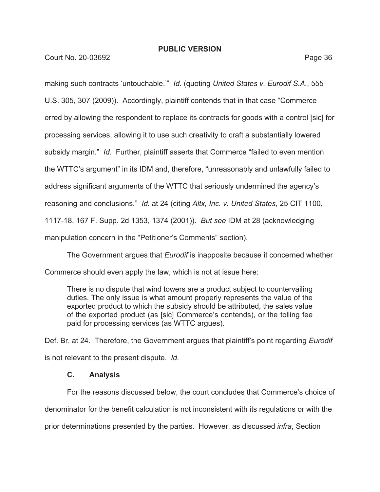Court No. 20-03692 Page 36

making such contracts 'untouchable.'" *Id.* (quoting *United States v. Eurodif S.A.*, 555 U.S. 305, 307 (2009)). Accordingly, plaintiff contends that in that case "Commerce erred by allowing the respondent to replace its contracts for goods with a control [sic] for processing services, allowing it to use such creativity to craft a substantially lowered subsidy margin." *Id.* Further, plaintiff asserts that Commerce "failed to even mention the WTTC's argument" in its IDM and, therefore, "unreasonably and unlawfully failed to address significant arguments of the WTTC that seriously undermined the agency's reasoning and conclusions." *Id.* at 24 (citing *Altx, Inc. v. United States*, 25 CIT 1100, 1117-18, 167 F. Supp. 2d 1353, 1374 (2001)). *But see* IDM at 28 (acknowledging manipulation concern in the "Petitioner's Comments" section).

The Government argues that *Eurodif* is inapposite because it concerned whether Commerce should even apply the law, which is not at issue here:

There is no dispute that wind towers are a product subject to countervailing duties. The only issue is what amount properly represents the value of the exported product to which the subsidy should be attributed, the sales value of the exported product (as [sic] Commerce's contends), or the tolling fee paid for processing services (as WTTC argues).

Def. Br. at 24. Therefore, the Government argues that plaintiff's point regarding *Eurodif*  is not relevant to the present dispute. *Id.* 

# **C. Analysis**

For the reasons discussed below, the court concludes that Commerce's choice of denominator for the benefit calculation is not inconsistent with its regulations or with the prior determinations presented by the parties. However, as discussed *infra*, Section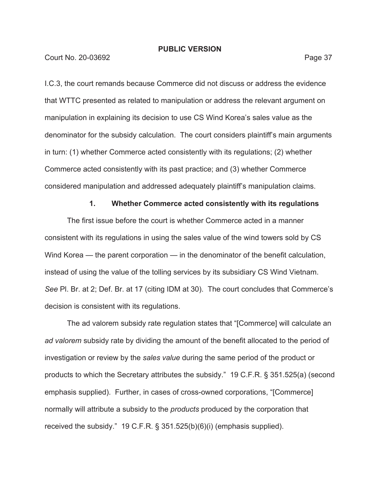#### **Court No. 20-03692 Page 37**

I.C.3, the court remands because Commerce did not discuss or address the evidence that WTTC presented as related to manipulation or address the relevant argument on manipulation in explaining its decision to use CS Wind Korea's sales value as the denominator for the subsidy calculation. The court considers plaintiff's main arguments in turn: (1) whether Commerce acted consistently with its regulations; (2) whether Commerce acted consistently with its past practice; and (3) whether Commerce considered manipulation and addressed adequately plaintiff's manipulation claims.

#### **1. Whether Commerce acted consistently with its regulations**

The first issue before the court is whether Commerce acted in a manner consistent with its regulations in using the sales value of the wind towers sold by CS Wind Korea — the parent corporation — in the denominator of the benefit calculation, instead of using the value of the tolling services by its subsidiary CS Wind Vietnam. *See* Pl. Br. at 2; Def. Br. at 17 (citing IDM at 30). The court concludes that Commerce's decision is consistent with its regulations.

The ad valorem subsidy rate regulation states that "[Commerce] will calculate an *ad valorem* subsidy rate by dividing the amount of the benefit allocated to the period of investigation or review by the *sales value* during the same period of the product or products to which the Secretary attributes the subsidy." 19 C.F.R. § 351.525(a) (second emphasis supplied). Further, in cases of cross-owned corporations, "[Commerce] normally will attribute a subsidy to the *products* produced by the corporation that received the subsidy." 19 C.F.R. § 351.525(b)(6)(i) (emphasis supplied).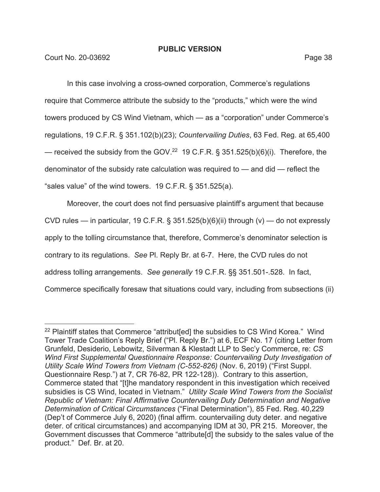In this case involving a cross-owned corporation, Commerce's regulations require that Commerce attribute the subsidy to the "products," which were the wind towers produced by CS Wind Vietnam, which — as a "corporation" under Commerce's regulations, 19 C.F.R. § 351.102(b)(23); *Countervailing Duties*, 63 Fed. Reg. at 65,400 — received the subsidy from the GOV.<sup>22</sup> 19 C.F.R. § 351.525(b)(6)(i). Therefore, the denominator of the subsidy rate calculation was required to — and did — reflect the "sales value" of the wind towers. 19 C.F.R. § 351.525(a).

Moreover, the court does not find persuasive plaintiff's argument that because CVD rules — in particular, 19 C.F.R. § 351.525(b)(6)(ii) through (v) — do not expressly apply to the tolling circumstance that, therefore, Commerce's denominator selection is contrary to its regulations. *See* Pl. Reply Br. at 6-7. Here, the CVD rules do not address tolling arrangements. *See generally* 19 C.F.R. §§ 351.501-.528. In fact, Commerce specifically foresaw that situations could vary, including from subsections (ii)

<sup>&</sup>lt;sup>22</sup> Plaintiff states that Commerce "attribut[ed] the subsidies to CS Wind Korea." Wind Tower Trade Coalition's Reply Brief ("Pl. Reply Br.") at 6, ECF No. 17 (citing Letter from Grunfeld, Desiderio, Lebowitz, Silverman & Klestadt LLP to Sec'y Commerce, re: *CS Wind First Supplemental Questionnaire Response: Countervailing Duty Investigation of Utility Scale Wind Towers from Vietnam (C-552-826)* (Nov. 6, 2019) ("First Suppl. Questionnaire Resp.") at 7, CR 76-82, PR 122-128)). Contrary to this assertion, Commerce stated that "[t]he mandatory respondent in this investigation which received subsidies is CS Wind, located in Vietnam." *Utility Scale Wind Towers from the Socialist Republic of Vietnam: Final Affirmative Countervailing Duty Determination and Negative Determination of Critical Circumstances* ("Final Determination"), 85 Fed. Reg. 40,229 (Dep't of Commerce July 6, 2020) (final affirm. countervailing duty deter. and negative deter. of critical circumstances) and accompanying IDM at 30, PR 215. Moreover, the Government discusses that Commerce "attribute[d] the subsidy to the sales value of the product." Def. Br. at 20.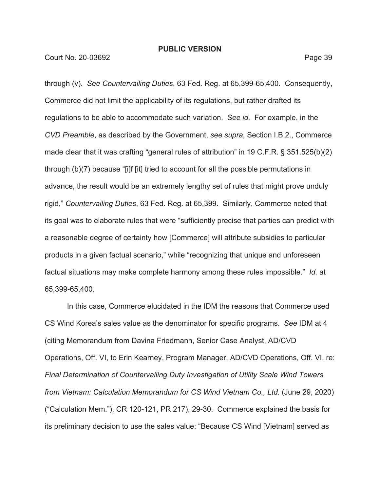Court No. 20-03692 Page 39

through (v). *See Countervailing Duties*, 63 Fed. Reg. at 65,399-65,400. Consequently, Commerce did not limit the applicability of its regulations, but rather drafted its regulations to be able to accommodate such variation. *See id.* For example, in the *CVD Preamble*, as described by the Government, *see supra*, Section I.B.2., Commerce made clear that it was crafting "general rules of attribution" in 19 C.F.R. § 351.525(b)(2) through (b)(7) because "[i]f [it] tried to account for all the possible permutations in advance, the result would be an extremely lengthy set of rules that might prove unduly rigid," *Countervailing Duties*, 63 Fed. Reg. at 65,399. Similarly, Commerce noted that its goal was to elaborate rules that were "sufficiently precise that parties can predict with a reasonable degree of certainty how [Commerce] will attribute subsidies to particular products in a given factual scenario," while "recognizing that unique and unforeseen factual situations may make complete harmony among these rules impossible." *Id.* at 65,399-65,400.

In this case, Commerce elucidated in the IDM the reasons that Commerce used CS Wind Korea's sales value as the denominator for specific programs. *See* IDM at 4 (citing Memorandum from Davina Friedmann, Senior Case Analyst, AD/CVD Operations, Off. VI, to Erin Kearney, Program Manager, AD/CVD Operations, Off. VI, re: *Final Determination of Countervailing Duty Investigation of Utility Scale Wind Towers from Vietnam: Calculation Memorandum for CS Wind Vietnam Co., Ltd.* (June 29, 2020) ("Calculation Mem."), CR 120-121, PR 217), 29-30. Commerce explained the basis for its preliminary decision to use the sales value: "Because CS Wind [Vietnam] served as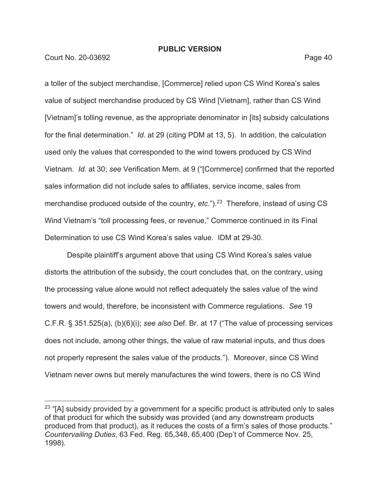**Court No. 20-03692** Page 40

a toller of the subject merchandise, [Commerce] relied upon CS Wind Korea's sales value of subject merchandise produced by CS Wind [Vietnam], rather than CS Wind [Vietnam]'s tolling revenue, as the appropriate denominator in [its] subsidy calculations for the final determination." *Id.* at 29 (citing PDM at 13, 5). In addition, the calculation used only the values that corresponded to the wind towers produced by CS Wind Vietnam. *Id.* at 30; *see* Verification Mem. at 9 ("[Commerce] confirmed that the reported sales information did not include sales to affiliates, service income, sales from merchandise produced outside of the country, *etc*.").<sup>23</sup> Therefore, instead of using CS Wind Vietnam's "toll processing fees, or revenue," Commerce continued in its Final Determination to use CS Wind Korea's sales value. IDM at 29-30.

Despite plaintiff's argument above that using CS Wind Korea's sales value distorts the attribution of the subsidy, the court concludes that, on the contrary, using the processing value alone would not reflect adequately the sales value of the wind towers and would, therefore, be inconsistent with Commerce regulations. *See* 19 C.F.R. § 351.525(a), (b)(6)(i); *see also* Def. Br. at 17 ("The value of processing services does not include, among other things, the value of raw material inputs, and thus does not properly represent the sales value of the products."). Moreover, since CS Wind Vietnam never owns but merely manufactures the wind towers, there is no CS Wind

 $23$  "[A] subsidy provided by a government for a specific product is attributed only to sales of that product for which the subsidy was provided (and any downstream products produced from that product), as it reduces the costs of a firm's sales of those products." *Countervailing Duties*, 63 Fed. Reg. 65,348, 65,400 (Dep't of Commerce Nov. 25, 1998).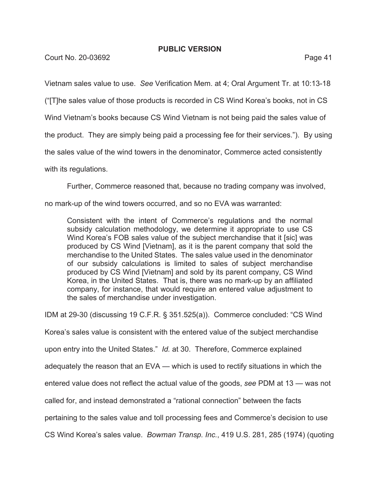**Court No. 20-03692** Page 41

Vietnam sales value to use. *See* Verification Mem. at 4; Oral Argument Tr. at 10:13-18

("[T]he sales value of those products is recorded in CS Wind Korea's books, not in CS

Wind Vietnam's books because CS Wind Vietnam is not being paid the sales value of

the product. They are simply being paid a processing fee for their services."). By using

the sales value of the wind towers in the denominator, Commerce acted consistently

with its regulations.

Further, Commerce reasoned that, because no trading company was involved,

no mark-up of the wind towers occurred, and so no EVA was warranted:

Consistent with the intent of Commerce's regulations and the normal subsidy calculation methodology, we determine it appropriate to use CS Wind Korea's FOB sales value of the subject merchandise that it [sic] was produced by CS Wind [Vietnam], as it is the parent company that sold the merchandise to the United States. The sales value used in the denominator of our subsidy calculations is limited to sales of subject merchandise produced by CS Wind [Vietnam] and sold by its parent company, CS Wind Korea, in the United States. That is, there was no mark-up by an affiliated company, for instance, that would require an entered value adjustment to the sales of merchandise under investigation.

IDM at 29-30 (discussing 19 C.F.R. § 351.525(a)). Commerce concluded: "CS Wind

Korea's sales value is consistent with the entered value of the subject merchandise

upon entry into the United States." *Id.* at 30. Therefore, Commerce explained

adequately the reason that an EVA — which is used to rectify situations in which the

entered value does not reflect the actual value of the goods, *see* PDM at 13 — was not

called for, and instead demonstrated a "rational connection" between the facts

pertaining to the sales value and toll processing fees and Commerce's decision to use

CS Wind Korea's sales value. *Bowman Transp. Inc.*, 419 U.S. 281, 285 (1974) (quoting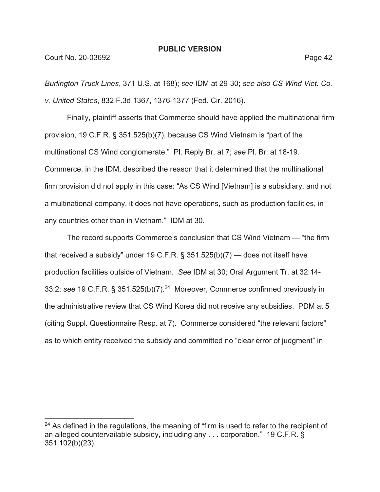*Burlington Truck Lines*, 371 U.S. at 168); *see* IDM at 29-30; *see also CS Wind Viet. Co. v. United States*, 832 F.3d 1367, 1376-1377 (Fed. Cir. 2016).

Finally, plaintiff asserts that Commerce should have applied the multinational firm provision, 19 C.F.R. § 351.525(b)(7), because CS Wind Vietnam is "part of the multinational CS Wind conglomerate." Pl. Reply Br. at 7; *see* Pl. Br. at 18-19. Commerce, in the IDM, described the reason that it determined that the multinational firm provision did not apply in this case: "As CS Wind [Vietnam] is a subsidiary, and not a multinational company, it does not have operations, such as production facilities, in any countries other than in Vietnam." IDM at 30.

The record supports Commerce's conclusion that CS Wind Vietnam — "the firm that received a subsidy" under 19 C.F.R.  $\S$  351.525(b)(7) — does not itself have production facilities outside of Vietnam. *See* IDM at 30; Oral Argument Tr. at 32:14- 33:2; *see* 19 C.F.R. § 351.525(b)(7).24 Moreover, Commerce confirmed previously in the administrative review that CS Wind Korea did not receive any subsidies. PDM at 5 (citing Suppl. Questionnaire Resp. at 7). Commerce considered "the relevant factors" as to which entity received the subsidy and committed no "clear error of judgment" in

 $24$  As defined in the regulations, the meaning of "firm is used to refer to the recipient of an alleged countervailable subsidy, including any . . . corporation." 19 C.F.R. § 351.102(b)(23).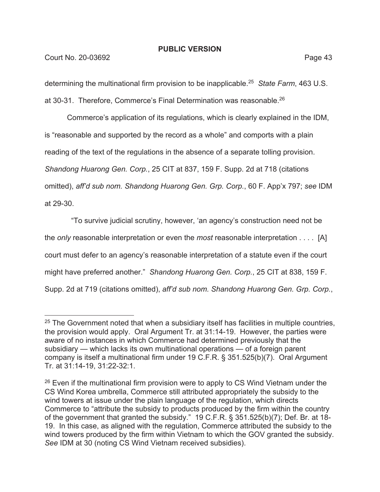determining the multinational firm provision to be inapplicable.25 *State Farm*, 463 U.S. at 30-31. Therefore, Commerce's Final Determination was reasonable.26

Commerce's application of its regulations, which is clearly explained in the IDM, is "reasonable and supported by the record as a whole" and comports with a plain reading of the text of the regulations in the absence of a separate tolling provision. *Shandong Huarong Gen. Corp.*, 25 CIT at 837, 159 F. Supp. 2d at 718 (citations omitted), *aff'd sub nom. Shandong Huarong Gen. Grp. Corp.*, 60 F. App'x 797; *see* IDM at 29-30.

 "To survive judicial scrutiny, however, 'an agency's construction need not be the *only* reasonable interpretation or even the *most* reasonable interpretation . . . . [A] court must defer to an agency's reasonable interpretation of a statute even if the court might have preferred another." *Shandong Huarong Gen. Corp.*, 25 CIT at 838, 159 F. Supp. 2d at 719 (citations omitted), *aff'd sub nom. Shandong Huarong Gen. Grp. Corp.*,

 $25$  The Government noted that when a subsidiary itself has facilities in multiple countries, the provision would apply. Oral Argument Tr. at 31:14-19. However, the parties were aware of no instances in which Commerce had determined previously that the subsidiary — which lacks its own multinational operations — of a foreign parent company is itself a multinational firm under 19 C.F.R. § 351.525(b)(7). Oral Argument Tr. at 31:14-19, 31:22-32:1.

 $26$  Even if the multinational firm provision were to apply to CS Wind Vietnam under the CS Wind Korea umbrella, Commerce still attributed appropriately the subsidy to the wind towers at issue under the plain language of the regulation, which directs Commerce to "attribute the subsidy to products produced by the firm within the country of the government that granted the subsidy." 19 C.F.R. § 351.525(b)(7); Def. Br. at 18- 19. In this case, as aligned with the regulation, Commerce attributed the subsidy to the wind towers produced by the firm within Vietnam to which the GOV granted the subsidy. *See* IDM at 30 (noting CS Wind Vietnam received subsidies).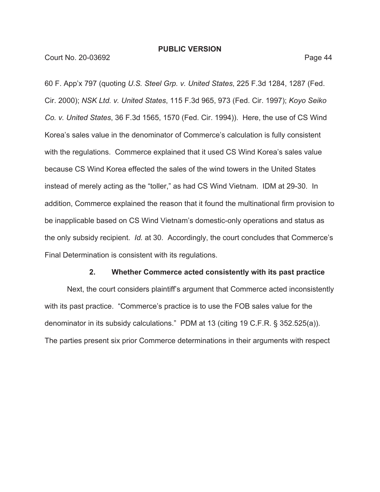60 F. App'x 797 (quoting *U.S. Steel Grp. v. United States*, 225 F.3d 1284, 1287 (Fed. Cir. 2000); *NSK Ltd. v. United States*, 115 F.3d 965, 973 (Fed. Cir. 1997); *Koyo Seiko Co. v. United States*, 36 F.3d 1565, 1570 (Fed. Cir. 1994)). Here, the use of CS Wind Korea's sales value in the denominator of Commerce's calculation is fully consistent with the regulations. Commerce explained that it used CS Wind Korea's sales value because CS Wind Korea effected the sales of the wind towers in the United States instead of merely acting as the "toller," as had CS Wind Vietnam. IDM at 29-30. In addition, Commerce explained the reason that it found the multinational firm provision to be inapplicable based on CS Wind Vietnam's domestic-only operations and status as the only subsidy recipient. *Id.* at 30. Accordingly, the court concludes that Commerce's Final Determination is consistent with its regulations.

#### **2. Whether Commerce acted consistently with its past practice**

Next, the court considers plaintiff's argument that Commerce acted inconsistently with its past practice. "Commerce's practice is to use the FOB sales value for the denominator in its subsidy calculations." PDM at 13 (citing 19 C.F.R. § 352.525(a)). The parties present six prior Commerce determinations in their arguments with respect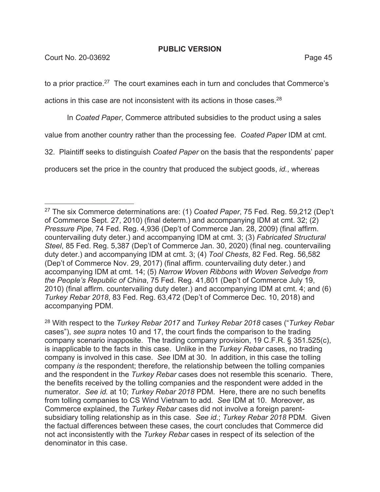**Court No. 20-03692** Page 45

to a prior practice.<sup>27</sup> The court examines each in turn and concludes that Commerce's

actions in this case are not inconsistent with its actions in those cases.<sup>28</sup>

In *Coated Paper*, Commerce attributed subsidies to the product using a sales

value from another country rather than the processing fee. *Coated Paper* IDM at cmt.

32. Plaintiff seeks to distinguish *Coated Paper* on the basis that the respondents' paper

producers set the price in the country that produced the subject goods, *id.*, whereas

<sup>27</sup> The six Commerce determinations are: (1) *Coated Paper*, 75 Fed. Reg. 59,212 (Dep't of Commerce Sept. 27, 2010) (final determ.) and accompanying IDM at cmt. 32; (2) *Pressure Pipe*, 74 Fed. Reg. 4,936 (Dep't of Commerce Jan. 28, 2009) (final affirm. countervailing duty deter.) and accompanying IDM at cmt. 3; (3) *Fabricated Structural Steel*, 85 Fed. Reg. 5,387 (Dep't of Commerce Jan. 30, 2020) (final neg. countervailing duty deter.) and accompanying IDM at cmt. 3; (4) *Tool Chests*, 82 Fed. Reg. 56,582 (Dep't of Commerce Nov. 29, 2017) (final affirm. countervailing duty deter.) and accompanying IDM at cmt. 14; (5) *Narrow Woven Ribbons with Woven Selvedge from the People's Republic of China*, 75 Fed. Reg. 41,801 (Dep't of Commerce July 19, 2010) (final affirm. countervailing duty deter.) and accompanying IDM at cmt. 4; and (6) *Turkey Rebar 2018*, 83 Fed. Reg. 63,472 (Dep't of Commerce Dec. 10, 2018) and accompanying PDM.

<sup>28</sup> With respect to the *Turkey Rebar 2017* and *Turkey Rebar 2018* cases ("*Turkey Rebar*  cases"), *see supra* notes 10 and 17, the court finds the comparison to the trading company scenario inapposite. The trading company provision, 19 C.F.R. § 351.525(c), is inapplicable to the facts in this case. Unlike in the *Turkey Rebar* cases, no trading company is involved in this case. *See* IDM at 30. In addition, in this case the tolling company *is* the respondent; therefore, the relationship between the tolling companies and the respondent in the *Turkey Rebar* cases does not resemble this scenario. There, the benefits received by the tolling companies and the respondent were added in the numerator. *See id.* at 10; *Turkey Rebar 2018* PDM. Here, there are no such benefits from tolling companies to CS Wind Vietnam to add. *See* IDM at 10. Moreover, as Commerce explained, the *Turkey Rebar* cases did not involve a foreign parentsubsidiary tolling relationship as in this case. *See id.*; *Turkey Rebar 2018* PDM. Given the factual differences between these cases, the court concludes that Commerce did not act inconsistently with the *Turkey Rebar* cases in respect of its selection of the denominator in this case.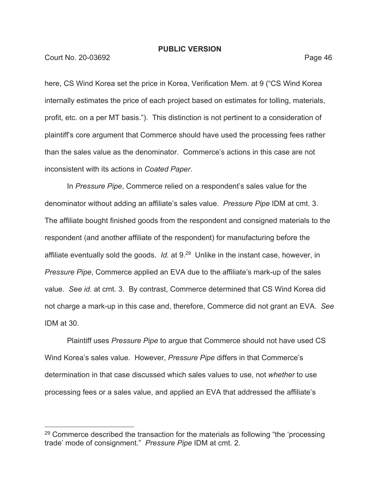Court No. 20-03692 **Page 46** 

here, CS Wind Korea set the price in Korea, Verification Mem. at 9 ("CS Wind Korea internally estimates the price of each project based on estimates for tolling, materials, profit, etc. on a per MT basis."). This distinction is not pertinent to a consideration of plaintiff's core argument that Commerce should have used the processing fees rather than the sales value as the denominator. Commerce's actions in this case are not inconsistent with its actions in *Coated Paper*.

In *Pressure Pipe*, Commerce relied on a respondent's sales value for the denominator without adding an affiliate's sales value. *Pressure Pipe* IDM at cmt. 3. The affiliate bought finished goods from the respondent and consigned materials to the respondent (and another affiliate of the respondent) for manufacturing before the affiliate eventually sold the goods. *Id.* at 9.29Unlike in the instant case, however, in *Pressure Pipe*, Commerce applied an EVA due to the affiliate's mark-up of the sales value. *See id.* at cmt. 3. By contrast, Commerce determined that CS Wind Korea did not charge a mark-up in this case and, therefore, Commerce did not grant an EVA. *See*  IDM at 30.

Plaintiff uses *Pressure Pipe* to argue that Commerce should not have used CS Wind Korea's sales value. However, *Pressure Pipe* differs in that Commerce's determination in that case discussed which sales values to use, not *whether* to use processing fees or a sales value, and applied an EVA that addressed the affiliate's

<sup>&</sup>lt;sup>29</sup> Commerce described the transaction for the materials as following "the 'processing trade' mode of consignment." *Pressure Pipe* IDM at cmt. 2.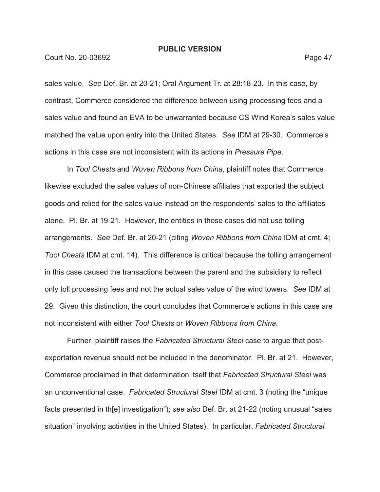Court No. 20-03692 **Page 47** 

sales value. *See* Def. Br. at 20-21; Oral Argument Tr. at 28:18-23. In this case, by contrast, Commerce considered the difference between using processing fees and a sales value and found an EVA to be unwarranted because CS Wind Korea's sales value matched the value upon entry into the United States. *See* IDM at 29-30. Commerce's actions in this case are not inconsistent with its actions in *Pressure Pipe*.

In *Tool Chests* and *Woven Ribbons from China*, plaintiff notes that Commerce likewise excluded the sales values of non-Chinese affiliates that exported the subject goods and relied for the sales value instead on the respondents' sales to the affiliates alone. Pl. Br. at 19-21. However, the entities in those cases did not use tolling arrangements. *See* Def. Br. at 20-21 (citing *Woven Ribbons from China* IDM at cmt. 4; *Tool Chests* IDM at cmt. 14). This difference is critical because the tolling arrangement in this case caused the transactions between the parent and the subsidiary to reflect only toll processing fees and not the actual sales value of the wind towers. *See* IDM at 29. Given this distinction, the court concludes that Commerce's actions in this case are not inconsistent with either *Tool Chests* or *Woven Ribbons from China*.

Further, plaintiff raises the *Fabricated Structural Steel* case to argue that postexportation revenue should not be included in the denominator. Pl. Br. at 21. However, Commerce proclaimed in that determination itself that *Fabricated Structural Steel* was an unconventional case. *Fabricated Structural Steel* IDM at cmt. 3 (noting the "unique facts presented in th[e] investigation"); *see also* Def. Br. at 21-22 (noting unusual "sales situation" involving activities in the United States). In particular, *Fabricated Structural*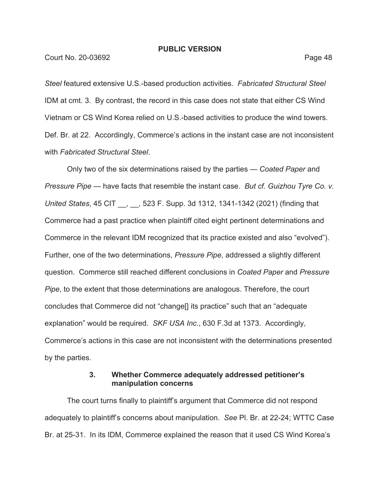*Steel* featured extensive U.S.-based production activities. *Fabricated Structural Steel*  IDM at cmt. 3. By contrast, the record in this case does not state that either CS Wind Vietnam or CS Wind Korea relied on U.S.-based activities to produce the wind towers. Def. Br. at 22. Accordingly, Commerce's actions in the instant case are not inconsistent with *Fabricated Structural Steel*.

Only two of the six determinations raised by the parties — *Coated Paper* and *Pressure Pipe* — have facts that resemble the instant case. *But cf. Guizhou Tyre Co. v. United States*, 45 CIT \_\_, \_\_, 523 F. Supp. 3d 1312, 1341-1342 (2021) (finding that Commerce had a past practice when plaintiff cited eight pertinent determinations and Commerce in the relevant IDM recognized that its practice existed and also "evolved"). Further, one of the two determinations, *Pressure Pipe*, addressed a slightly different question. Commerce still reached different conclusions in *Coated Paper* and *Pressure Pipe*, to the extent that those determinations are analogous. Therefore, the court concludes that Commerce did not "change[] its practice" such that an "adequate explanation" would be required. *SKF USA Inc.*, 630 F.3d at 1373. Accordingly, Commerce's actions in this case are not inconsistent with the determinations presented by the parties.

# **3. Whether Commerce adequately addressed petitioner's manipulation concerns**

The court turns finally to plaintiff's argument that Commerce did not respond adequately to plaintiff's concerns about manipulation. *See* Pl. Br. at 22-24; WTTC Case Br. at 25-31. In its IDM, Commerce explained the reason that it used CS Wind Korea's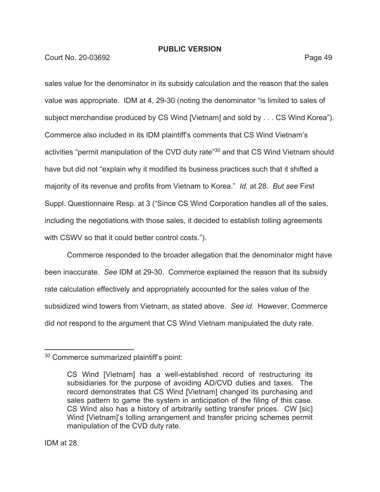Court No. 20-03692 **Page 49** 

sales value for the denominator in its subsidy calculation and the reason that the sales value was appropriate. IDM at 4, 29-30 (noting the denominator "is limited to sales of subject merchandise produced by CS Wind [Vietnam] and sold by . . . CS Wind Korea"). Commerce also included in its IDM plaintiff's comments that CS Wind Vietnam's activities "permit manipulation of the CVD duty rate"<sup>30</sup> and that CS Wind Vietnam should have but did not "explain why it modified its business practices such that it shifted a majority of its revenue and profits from Vietnam to Korea." *Id.* at 28. *But see* First Suppl. Questionnaire Resp. at 3 ("Since CS Wind Corporation handles all of the sales, including the negotiations with those sales, it decided to establish tolling agreements with CSWV so that it could better control costs.").

Commerce responded to the broader allegation that the denominator might have been inaccurate. *See* IDM at 29-30. Commerce explained the reason that its subsidy rate calculation effectively and appropriately accounted for the sales value of the subsidized wind towers from Vietnam, as stated above. *See id.* However, Commerce did not respond to the argument that CS Wind Vietnam manipulated the duty rate.

<sup>30</sup> Commerce summarized plaintiff's point:

CS Wind [Vietnam] has a well-established record of restructuring its subsidiaries for the purpose of avoiding AD/CVD duties and taxes. The record demonstrates that CS Wind [Vietnam] changed its purchasing and sales pattern to game the system in anticipation of the filing of this case. CS Wind also has a history of arbitrarily setting transfer prices. CW [sic] Wind [Vietnam]'s tolling arrangement and transfer pricing schemes permit manipulation of the CVD duty rate.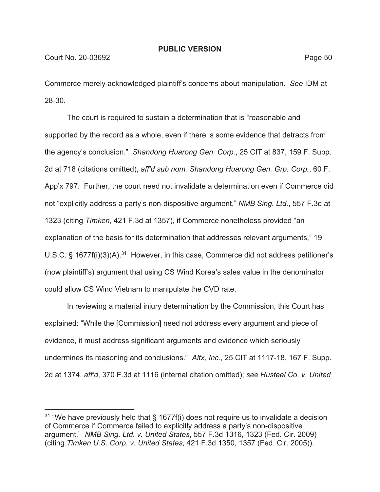Commerce merely acknowledged plaintiff's concerns about manipulation. *See* IDM at 28-30.

The court is required to sustain a determination that is "reasonable and supported by the record as a whole, even if there is some evidence that detracts from the agency's conclusion." *Shandong Huarong Gen. Corp.*, 25 CIT at 837, 159 F. Supp. 2d at 718 (citations omitted), *aff'd sub nom. Shandong Huarong Gen. Grp. Corp.*, 60 F. App'x 797. Further, the court need not invalidate a determination even if Commerce did not "explicitly address a party's non-dispositive argument," *NMB Sing. Ltd.*, 557 F.3d at 1323 (citing *Timken*, 421 F.3d at 1357), if Commerce nonetheless provided "an explanation of the basis for its determination that addresses relevant arguments," 19 U.S.C. § 1677 $f(i)(3)(A).^{31}$  However, in this case, Commerce did not address petitioner's (now plaintiff's) argument that using CS Wind Korea's sales value in the denominator could allow CS Wind Vietnam to manipulate the CVD rate.

In reviewing a material injury determination by the Commission, this Court has explained: "While the [Commission] need not address every argument and piece of evidence, it must address significant arguments and evidence which seriously undermines its reasoning and conclusions." *Altx, Inc.*, 25 CIT at 1117-18, 167 F. Supp. 2d at 1374, *aff'd*, 370 F.3d at 1116 (internal citation omitted); *see Husteel Co. v. United* 

 $31$  "We have previously held that § 1677f(i) does not require us to invalidate a decision of Commerce if Commerce failed to explicitly address a party's non-dispositive argument." *NMB Sing. Ltd. v. United States*, 557 F.3d 1316, 1323 (Fed. Cir. 2009) (citing *Timken U.S. Corp. v. United States*, 421 F.3d 1350, 1357 (Fed. Cir. 2005)).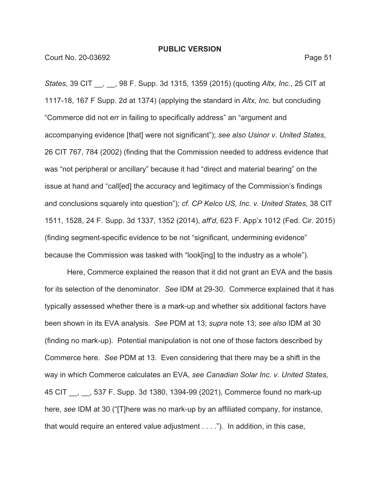*States*, 39 CIT \_\_, \_\_, 98 F. Supp. 3d 1315, 1359 (2015) (quoting *Altx, Inc.*, 25 CIT at 1117-18, 167 F Supp. 2d at 1374) (applying the standard in *Altx, Inc.* but concluding "Commerce did not err in failing to specifically address" an "argument and accompanying evidence [that] were not significant"); *see also Usinor v. United States*, 26 CIT 767, 784 (2002) (finding that the Commission needed to address evidence that was "not peripheral or ancillary" because it had "direct and material bearing" on the issue at hand and "call[ed] the accuracy and legitimacy of the Commission's findings and conclusions squarely into question"); *cf. CP Kelco US, Inc. v. United States*, 38 CIT 1511, 1528, 24 F. Supp. 3d 1337, 1352 (2014), *aff'd*, 623 F. App'x 1012 (Fed. Cir. 2015) (finding segment-specific evidence to be not "significant, undermining evidence" because the Commission was tasked with "look[ing] to the industry as a whole").

Here, Commerce explained the reason that it did not grant an EVA and the basis for its selection of the denominator. *See* IDM at 29-30. Commerce explained that it has typically assessed whether there is a mark-up and whether six additional factors have been shown in its EVA analysis. *See* PDM at 13; *supra* note 13; *see also* IDM at 30 (finding no mark-up). Potential manipulation is not one of those factors described by Commerce here. *See* PDM at 13. Even considering that there may be a shift in the way in which Commerce calculates an EVA, *see Canadian Solar Inc. v. United States*, 45 CIT \_\_, \_\_, 537 F. Supp. 3d 1380, 1394-99 (2021), Commerce found no mark-up here, *see* IDM at 30 ("[T]here was no mark-up by an affiliated company, for instance, that would require an entered value adjustment . . . ."). In addition, in this case,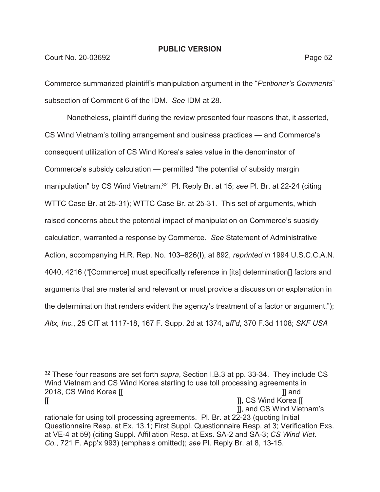### Court No. 20-03692 Page 52

Commerce summarized plaintiff's manipulation argument in the "*Petitioner's Comments*" subsection of Comment 6 of the IDM. *See* IDM at 28.

Nonetheless, plaintiff during the review presented four reasons that, it asserted, CS Wind Vietnam's tolling arrangement and business practices — and Commerce's consequent utilization of CS Wind Korea's sales value in the denominator of Commerce's subsidy calculation — permitted "the potential of subsidy margin manipulation" by CS Wind Vietnam.<sup>32</sup> Pl. Reply Br. at 15; see Pl. Br. at 22-24 (citing WTTC Case Br. at 25-31); WTTC Case Br. at 25-31. This set of arguments, which raised concerns about the potential impact of manipulation on Commerce's subsidy calculation, warranted a response by Commerce. *See* Statement of Administrative Action, accompanying H.R. Rep. No. 103–826(I), at 892, *reprinted in* 1994 U.S.C.C.A.N. 4040, 4216 ("[Commerce] must specifically reference in [its] determination[] factors and arguments that are material and relevant or must provide a discussion or explanation in the determination that renders evident the agency's treatment of a factor or argument."); *Altx, Inc.*, 25 CIT at 1117-18, 167 F. Supp. 2d at 1374, *aff'd*, 370 F.3d 1108; *SKF USA* 

<sup>32</sup> These four reasons are set forth *supra*, Section I.B.3 at pp. 33-34. They include CS Wind Vietnam and CS Wind Korea starting to use toll processing agreements in 2018, CS Wind Korea [[  $\qquad \qquad$  ]] and [[ ]], CS Wind Korea [[

 <sup>]],</sup> and CS Wind Vietnam's

rationale for using toll processing agreements. Pl. Br. at 22-23 (quoting Initial Questionnaire Resp. at Ex. 13.1; First Suppl. Questionnaire Resp. at 3; Verification Exs. at VE-4 at 59) (citing Suppl. Affiliation Resp. at Exs. SA-2 and SA-3; *CS Wind Viet. Co.*, 721 F. App'x 993) (emphasis omitted); *see* Pl. Reply Br. at 8, 13-15.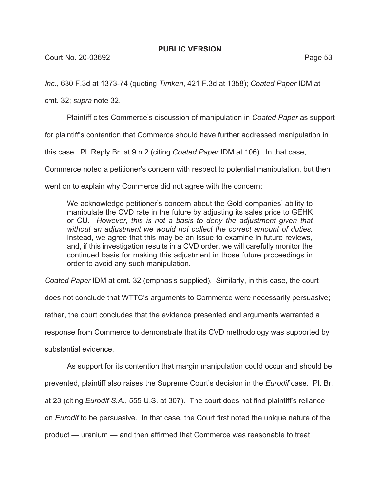*Inc.*, 630 F.3d at 1373-74 (quoting *Timken*, 421 F.3d at 1358); *Coated Paper* IDM at

cmt. 32; *supra* note 32.

Plaintiff cites Commerce's discussion of manipulation in *Coated Paper* as support

for plaintiff's contention that Commerce should have further addressed manipulation in

this case. Pl. Reply Br. at 9 n.2 (citing *Coated Paper* IDM at 106). In that case,

Commerce noted a petitioner's concern with respect to potential manipulation, but then

went on to explain why Commerce did not agree with the concern:

We acknowledge petitioner's concern about the Gold companies' ability to manipulate the CVD rate in the future by adjusting its sales price to GEHK or CU. *However, this is not a basis to deny the adjustment given that without an adjustment we would not collect the correct amount of duties.*  Instead, we agree that this may be an issue to examine in future reviews, and, if this investigation results in a CVD order, we will carefully monitor the continued basis for making this adjustment in those future proceedings in order to avoid any such manipulation.

*Coated Paper* IDM at cmt. 32 (emphasis supplied). Similarly, in this case, the court

does not conclude that WTTC's arguments to Commerce were necessarily persuasive;

rather, the court concludes that the evidence presented and arguments warranted a

response from Commerce to demonstrate that its CVD methodology was supported by

substantial evidence.

As support for its contention that margin manipulation could occur and should be

prevented, plaintiff also raises the Supreme Court's decision in the *Eurodif* case. Pl. Br.

at 23 (citing *Eurodif S.A.*, 555 U.S. at 307). The court does not find plaintiff's reliance

on *Eurodif* to be persuasive. In that case, the Court first noted the unique nature of the

product — uranium — and then affirmed that Commerce was reasonable to treat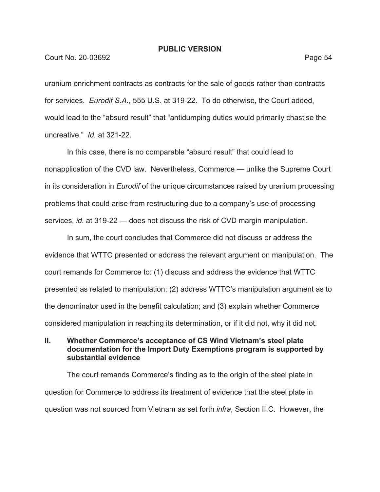#### Court No. 20-03692 Page 54

uranium enrichment contracts as contracts for the sale of goods rather than contracts for services. *Eurodif S.A.*, 555 U.S. at 319-22. To do otherwise, the Court added, would lead to the "absurd result" that "antidumping duties would primarily chastise the uncreative." *Id.* at 321-22.

In this case, there is no comparable "absurd result" that could lead to nonapplication of the CVD law. Nevertheless, Commerce — unlike the Supreme Court in its consideration in *Eurodif* of the unique circumstances raised by uranium processing problems that could arise from restructuring due to a company's use of processing services, *id.* at 319-22 *—* does not discuss the risk of CVD margin manipulation.

In sum, the court concludes that Commerce did not discuss or address the evidence that WTTC presented or address the relevant argument on manipulation. The court remands for Commerce to: (1) discuss and address the evidence that WTTC presented as related to manipulation; (2) address WTTC's manipulation argument as to the denominator used in the benefit calculation; and (3) explain whether Commerce considered manipulation in reaching its determination, or if it did not, why it did not.

# **II. Whether Commerce's acceptance of CS Wind Vietnam's steel plate documentation for the Import Duty Exemptions program is supported by substantial evidence**

The court remands Commerce's finding as to the origin of the steel plate in question for Commerce to address its treatment of evidence that the steel plate in question was not sourced from Vietnam as set forth *infra*, Section II.C. However, the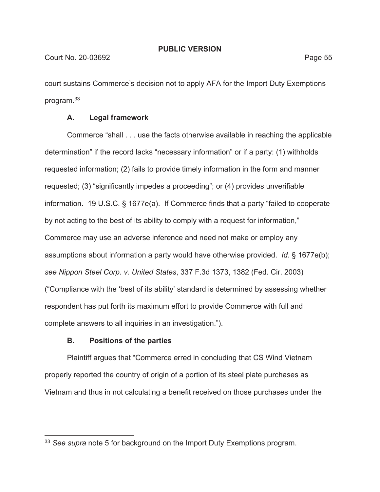court sustains Commerce's decision not to apply AFA for the Import Duty Exemptions program.33

# **A. Legal framework**

Commerce "shall . . . use the facts otherwise available in reaching the applicable determination" if the record lacks "necessary information" or if a party: (1) withholds requested information; (2) fails to provide timely information in the form and manner requested; (3) "significantly impedes a proceeding"; or (4) provides unverifiable information. 19 U.S.C. § 1677e(a). If Commerce finds that a party "failed to cooperate by not acting to the best of its ability to comply with a request for information," Commerce may use an adverse inference and need not make or employ any assumptions about information a party would have otherwise provided. *Id.* § 1677e(b); *see Nippon Steel Corp. v. United States*, 337 F.3d 1373, 1382 (Fed. Cir. 2003) ("Compliance with the 'best of its ability' standard is determined by assessing whether respondent has put forth its maximum effort to provide Commerce with full and complete answers to all inquiries in an investigation.").

# **B. Positions of the parties**

Plaintiff argues that "Commerce erred in concluding that CS Wind Vietnam properly reported the country of origin of a portion of its steel plate purchases as Vietnam and thus in not calculating a benefit received on those purchases under the

<sup>33</sup> *See supra* note 5 for background on the Import Duty Exemptions program.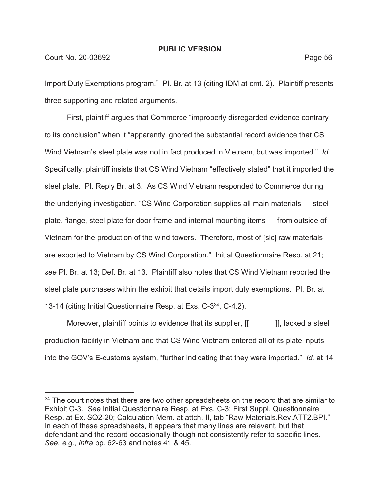### Court No. 20-03692 Page 56

Import Duty Exemptions program." Pl. Br. at 13 (citing IDM at cmt. 2). Plaintiff presents three supporting and related arguments.

First, plaintiff argues that Commerce "improperly disregarded evidence contrary to its conclusion" when it "apparently ignored the substantial record evidence that CS Wind Vietnam's steel plate was not in fact produced in Vietnam, but was imported." *Id.* Specifically, plaintiff insists that CS Wind Vietnam "effectively stated" that it imported the steel plate. Pl. Reply Br. at 3. As CS Wind Vietnam responded to Commerce during the underlying investigation, "CS Wind Corporation supplies all main materials — steel plate, flange, steel plate for door frame and internal mounting items — from outside of Vietnam for the production of the wind towers. Therefore, most of [sic] raw materials are exported to Vietnam by CS Wind Corporation." Initial Questionnaire Resp. at 21; *see* Pl. Br. at 13; Def. Br. at 13. Plaintiff also notes that CS Wind Vietnam reported the steel plate purchases within the exhibit that details import duty exemptions. Pl. Br. at 13-14 (citing Initial Questionnaire Resp. at Exs. C-334, C-4.2).

Moreover, plaintiff points to evidence that its supplier,  $[[ \quad ]]$ , lacked a steel production facility in Vietnam and that CS Wind Vietnam entered all of its plate inputs into the GOV's E-customs system, "further indicating that they were imported." *Id.* at 14

<sup>&</sup>lt;sup>34</sup> The court notes that there are two other spreadsheets on the record that are similar to Exhibit C-3. *See* Initial Questionnaire Resp. at Exs. C-3; First Suppl. Questionnaire Resp. at Ex. SQ2-20; Calculation Mem. at attch. II, tab "Raw Materials.Rev.ATT2.BPI." In each of these spreadsheets, it appears that many lines are relevant, but that defendant and the record occasionally though not consistently refer to specific lines. *See, e.g.*, *infra* pp. 62-63 and notes 41 & 45.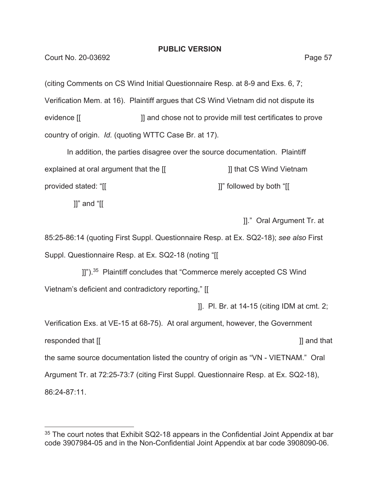(citing Comments on CS Wind Initial Questionnaire Resp. at 8-9 and Exs. 6, 7; Verification Mem. at 16). Plaintiff argues that CS Wind Vietnam did not dispute its evidence [[ ]] and chose not to provide mill test certificates to prove country of origin. *Id.* (quoting WTTC Case Br. at 17).

In addition, the parties disagree over the source documentation. Plaintiff explained at oral argument that the  $[[$  [[  $]$ ]] that CS Wind Vietnam provided stated: "[[ ]]" followed by both "[[

]]" and "[[

]]." Oral Argument Tr. at

85:25-86:14 (quoting First Suppl. Questionnaire Resp. at Ex. SQ2-18); *see also* First Suppl. Questionnaire Resp. at Ex. SQ2-18 (noting "[[

[I]").<sup>35</sup> Plaintiff concludes that "Commerce merely accepted CS Wind Vietnam's deficient and contradictory reporting," [[

]]. Pl. Br. at 14-15 (citing IDM at cmt. 2;

Verification Exs. at VE-15 at 68-75). At oral argument, however, the Government responded that  $[[$  and that  $[]$  and that  $[]$  and that  $[]$  and that  $[]$  and that  $[]$  and that  $[]$  and that  $[]$ the same source documentation listed the country of origin as "VN - VIETNAM." Oral Argument Tr. at 72:25-73:7 (citing First Suppl. Questionnaire Resp. at Ex. SQ2-18), 86:24-87:11.

<sup>&</sup>lt;sup>35</sup> The court notes that Exhibit SQ2-18 appears in the Confidential Joint Appendix at bar code 3907984-05 and in the Non-Confidential Joint Appendix at bar code 3908090-06.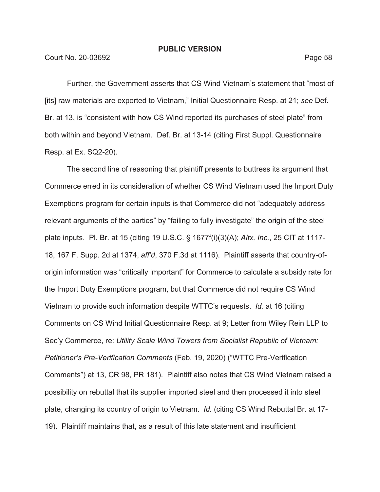Further, the Government asserts that CS Wind Vietnam's statement that "most of [its] raw materials are exported to Vietnam," Initial Questionnaire Resp. at 21; *see* Def. Br. at 13, is "consistent with how CS Wind reported its purchases of steel plate" from both within and beyond Vietnam. Def. Br. at 13-14 (citing First Suppl. Questionnaire Resp. at Ex. SQ2-20).

The second line of reasoning that plaintiff presents to buttress its argument that Commerce erred in its consideration of whether CS Wind Vietnam used the Import Duty Exemptions program for certain inputs is that Commerce did not "adequately address relevant arguments of the parties" by "failing to fully investigate" the origin of the steel plate inputs. Pl. Br. at 15 (citing 19 U.S.C. § 1677f(i)(3)(A); *Altx, Inc.*, 25 CIT at 1117- 18, 167 F. Supp. 2d at 1374, *aff'd*, 370 F.3d at 1116). Plaintiff asserts that country-oforigin information was "critically important" for Commerce to calculate a subsidy rate for the Import Duty Exemptions program, but that Commerce did not require CS Wind Vietnam to provide such information despite WTTC's requests. *Id.* at 16 (citing Comments on CS Wind Initial Questionnaire Resp. at 9; Letter from Wiley Rein LLP to Sec'y Commerce, re: *Utility Scale Wind Towers from Socialist Republic of Vietnam: Petitioner's Pre-Verification Comments* (Feb. 19, 2020) ("WTTC Pre-Verification Comments") at 13, CR 98, PR 181). Plaintiff also notes that CS Wind Vietnam raised a possibility on rebuttal that its supplier imported steel and then processed it into steel plate, changing its country of origin to Vietnam. *Id.* (citing CS Wind Rebuttal Br. at 17- 19). Plaintiff maintains that, as a result of this late statement and insufficient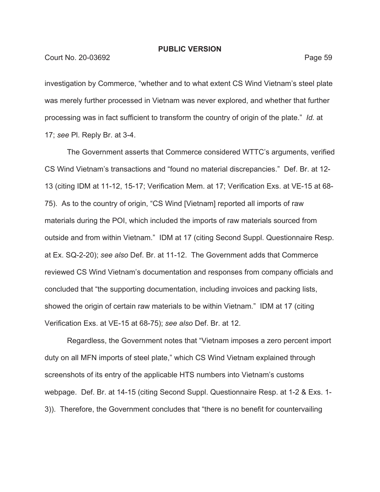#### Court No. 20-03692 Page 59

investigation by Commerce, "whether and to what extent CS Wind Vietnam's steel plate was merely further processed in Vietnam was never explored, and whether that further processing was in fact sufficient to transform the country of origin of the plate." *Id.* at 17; *see* Pl. Reply Br. at 3-4.

The Government asserts that Commerce considered WTTC's arguments, verified CS Wind Vietnam's transactions and "found no material discrepancies." Def. Br. at 12- 13 (citing IDM at 11-12, 15-17; Verification Mem. at 17; Verification Exs. at VE-15 at 68- 75). As to the country of origin, "CS Wind [Vietnam] reported all imports of raw materials during the POI, which included the imports of raw materials sourced from outside and from within Vietnam." IDM at 17 (citing Second Suppl. Questionnaire Resp. at Ex. SQ-2-20); *see also* Def. Br. at 11-12. The Government adds that Commerce reviewed CS Wind Vietnam's documentation and responses from company officials and concluded that "the supporting documentation, including invoices and packing lists, showed the origin of certain raw materials to be within Vietnam." IDM at 17 (citing Verification Exs. at VE-15 at 68-75); *see also* Def. Br. at 12.

Regardless, the Government notes that "Vietnam imposes a zero percent import duty on all MFN imports of steel plate," which CS Wind Vietnam explained through screenshots of its entry of the applicable HTS numbers into Vietnam's customs webpage. Def. Br. at 14-15 (citing Second Suppl. Questionnaire Resp. at 1-2 & Exs. 1- 3)). Therefore, the Government concludes that "there is no benefit for countervailing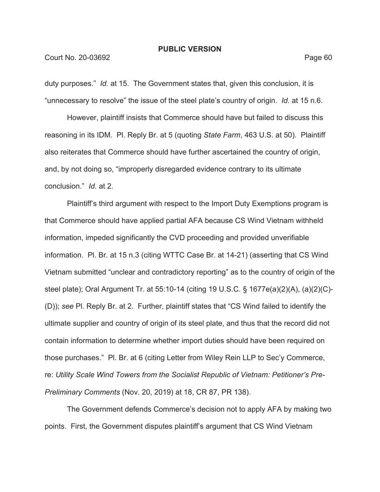#### Court No. 20-03692 Page 60

duty purposes." *Id.* at 15. The Government states that, given this conclusion, it is "unnecessary to resolve" the issue of the steel plate's country of origin. *Id.* at 15 n.6.

However, plaintiff insists that Commerce should have but failed to discuss this reasoning in its IDM. Pl. Reply Br. at 5 (quoting *State Farm*, 463 U.S. at 50). Plaintiff also reiterates that Commerce should have further ascertained the country of origin, and, by not doing so, "improperly disregarded evidence contrary to its ultimate conclusion." *Id.* at 2.

Plaintiff's third argument with respect to the Import Duty Exemptions program is that Commerce should have applied partial AFA because CS Wind Vietnam withheld information, impeded significantly the CVD proceeding and provided unverifiable information. Pl. Br. at 15 n.3 (citing WTTC Case Br. at 14-21) (asserting that CS Wind Vietnam submitted "unclear and contradictory reporting" as to the country of origin of the steel plate); Oral Argument Tr. at 55:10-14 (citing 19 U.S.C. § 1677e(a)(2)(A), (a)(2)(C)- (D)); *see* Pl. Reply Br. at 2. Further, plaintiff states that "CS Wind failed to identify the ultimate supplier and country of origin of its steel plate, and thus that the record did not contain information to determine whether import duties should have been required on those purchases." Pl. Br. at 6 (citing Letter from Wiley Rein LLP to Sec'y Commerce, re: *Utility Scale Wind Towers from the Socialist Republic of Vietnam: Petitioner's Pre-Preliminary Comments* (Nov. 20, 2019) at 18, CR 87, PR 138).

The Government defends Commerce's decision not to apply AFA by making two points. First, the Government disputes plaintiff's argument that CS Wind Vietnam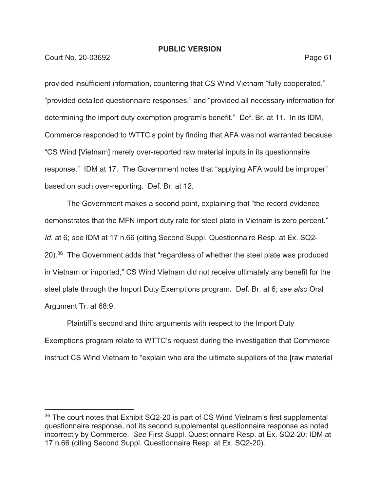Court No. 20-03692 **Page 61** 

provided insufficient information, countering that CS Wind Vietnam "fully cooperated," "provided detailed questionnaire responses," and "provided all necessary information for determining the import duty exemption program's benefit." Def. Br. at 11. In its IDM, Commerce responded to WTTC's point by finding that AFA was not warranted because "CS Wind [Vietnam] merely over-reported raw material inputs in its questionnaire response." IDM at 17. The Government notes that "applying AFA would be improper" based on such over-reporting. Def. Br. at 12.

The Government makes a second point, explaining that "the record evidence demonstrates that the MFN import duty rate for steel plate in Vietnam is zero percent." *Id.* at 6; *see* IDM at 17 n.66 (citing Second Suppl. Questionnaire Resp. at Ex. SQ2- 20).36 The Government adds that "regardless of whether the steel plate was produced in Vietnam or imported," CS Wind Vietnam did not receive ultimately any benefit for the steel plate through the Import Duty Exemptions program. Def. Br. at 6; *see also* Oral Argument Tr. at 68:9.

Plaintiff's second and third arguments with respect to the Import Duty Exemptions program relate to WTTC's request during the investigation that Commerce instruct CS Wind Vietnam to "explain who are the ultimate suppliers of the [raw material

 $36$  The court notes that Exhibit SQ2-20 is part of CS Wind Vietnam's first supplemental questionnaire response, not its second supplemental questionnaire response as noted incorrectly by Commerce. *See* First Suppl. Questionnaire Resp. at Ex. SQ2-20; IDM at 17 n.66 (citing Second Suppl. Questionnaire Resp. at Ex. SQ2-20).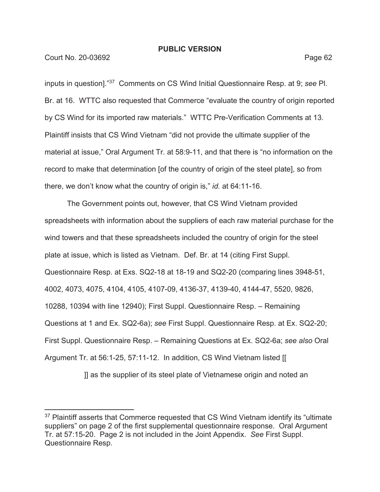Court No. 20-03692 Page 62

inputs in question]."37 Comments on CS Wind Initial Questionnaire Resp. at 9; *see* Pl. Br. at 16. WTTC also requested that Commerce "evaluate the country of origin reported by CS Wind for its imported raw materials." WTTC Pre-Verification Comments at 13. Plaintiff insists that CS Wind Vietnam "did not provide the ultimate supplier of the material at issue," Oral Argument Tr. at 58:9-11, and that there is "no information on the record to make that determination [of the country of origin of the steel plate], so from there, we don't know what the country of origin is," *id.* at 64:11-16.

The Government points out, however, that CS Wind Vietnam provided spreadsheets with information about the suppliers of each raw material purchase for the wind towers and that these spreadsheets included the country of origin for the steel plate at issue, which is listed as Vietnam. Def. Br. at 14 (citing First Suppl. Questionnaire Resp. at Exs. SQ2-18 at 18-19 and SQ2-20 (comparing lines 3948-51, 4002, 4073, 4075, 4104, 4105, 4107-09, 4136-37, 4139-40, 4144-47, 5520, 9826, 10288, 10394 with line 12940); First Suppl. Questionnaire Resp. – Remaining Questions at 1 and Ex. SQ2-6a); *see* First Suppl. Questionnaire Resp. at Ex. SQ2-20; First Suppl. Questionnaire Resp. – Remaining Questions at Ex. SQ2-6a; *see also* Oral Argument Tr. at 56:1-25, 57:11-12. In addition, CS Wind Vietnam listed [[

]] as the supplier of its steel plate of Vietnamese origin and noted an

<sup>&</sup>lt;sup>37</sup> Plaintiff asserts that Commerce requested that CS Wind Vietnam identify its "ultimate suppliers" on page 2 of the first supplemental questionnaire response. Oral Argument Tr. at 57:15-20. Page 2 is not included in the Joint Appendix. *See* First Suppl. Questionnaire Resp.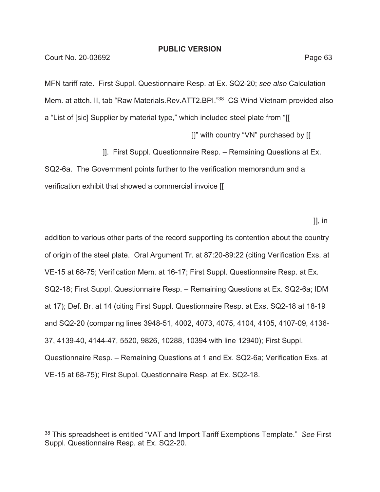MFN tariff rate. First Suppl. Questionnaire Resp. at Ex. SQ2-20; *see also* Calculation Mem. at attch. II, tab "Raw Materials.Rev.ATT2.BPI."38 CS Wind Vietnam provided also a "List of [sic] Supplier by material type," which included steel plate from "[[ ]]" with country "VN" purchased by [[

]]. First Suppl. Questionnaire Resp. – Remaining Questions at Ex.

SQ2-6a. The Government points further to the verification memorandum and a verification exhibit that showed a commercial invoice [[

]], in

addition to various other parts of the record supporting its contention about the country of origin of the steel plate. Oral Argument Tr. at 87:20-89:22 (citing Verification Exs. at VE-15 at 68-75; Verification Mem. at 16-17; First Suppl. Questionnaire Resp. at Ex. SQ2-18; First Suppl. Questionnaire Resp. – Remaining Questions at Ex. SQ2-6a; IDM at 17); Def. Br. at 14 (citing First Suppl. Questionnaire Resp. at Exs. SQ2-18 at 18-19 and SQ2-20 (comparing lines 3948-51, 4002, 4073, 4075, 4104, 4105, 4107-09, 4136- 37, 4139-40, 4144-47, 5520, 9826, 10288, 10394 with line 12940); First Suppl. Questionnaire Resp. – Remaining Questions at 1 and Ex. SQ2-6a; Verification Exs. at VE-15 at 68-75); First Suppl. Questionnaire Resp. at Ex. SQ2-18.

<sup>38</sup> This spreadsheet is entitled "VAT and Import Tariff Exemptions Template." *See* First Suppl. Questionnaire Resp. at Ex. SQ2-20.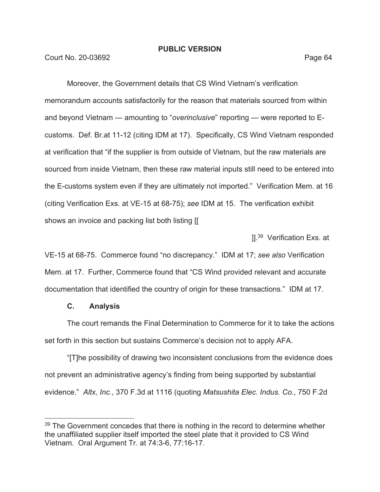Court No. 20-03692 **Page 64** 

Moreover, the Government details that CS Wind Vietnam's verification memorandum accounts satisfactorily for the reason that materials sourced from within and beyond Vietnam — amounting to "*overinclusive*" reporting — were reported to Ecustoms. Def. Br.at 11-12 (citing IDM at 17). Specifically, CS Wind Vietnam responded at verification that "if the supplier is from outside of Vietnam, but the raw materials are sourced from inside Vietnam, then these raw material inputs still need to be entered into the E-customs system even if they are ultimately not imported." Verification Mem. at 16 (citing Verification Exs. at VE-15 at 68-75); *see* IDM at 15. The verification exhibit shows an invoice and packing list both listing [[

11.<sup>39</sup> Verification Exs. at

VE-15 at 68-75. Commerce found "no discrepancy." IDM at 17; *see also* Verification Mem. at 17. Further, Commerce found that "CS Wind provided relevant and accurate documentation that identified the country of origin for these transactions." IDM at 17.

### **C. Analysis**

The court remands the Final Determination to Commerce for it to take the actions set forth in this section but sustains Commerce's decision not to apply AFA.

"[T]he possibility of drawing two inconsistent conclusions from the evidence does not prevent an administrative agency's finding from being supported by substantial evidence." *Altx, Inc.*, 370 F.3d at 1116 (quoting *Matsushita Elec. Indus. Co.*, 750 F.2d

<sup>&</sup>lt;sup>39</sup> The Government concedes that there is nothing in the record to determine whether the unaffiliated supplier itself imported the steel plate that it provided to CS Wind Vietnam. Oral Argument Tr. at 74:3-6, 77:16-17.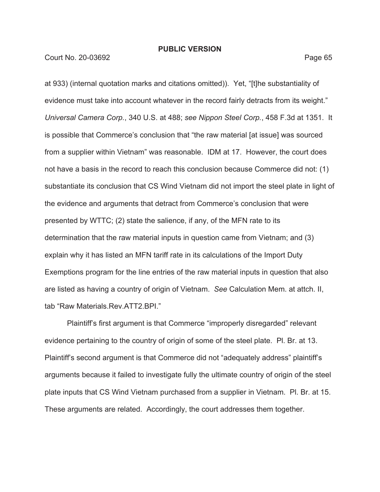Court No. 20-03692 Page 65

at 933) (internal quotation marks and citations omitted)). Yet, "[t]he substantiality of evidence must take into account whatever in the record fairly detracts from its weight." *Universal Camera Corp.*, 340 U.S. at 488; *see Nippon Steel Corp.*, 458 F.3d at 1351. It is possible that Commerce's conclusion that "the raw material [at issue] was sourced from a supplier within Vietnam" was reasonable. IDM at 17. However, the court does not have a basis in the record to reach this conclusion because Commerce did not: (1) substantiate its conclusion that CS Wind Vietnam did not import the steel plate in light of the evidence and arguments that detract from Commerce's conclusion that were presented by WTTC; (2) state the salience, if any, of the MFN rate to its determination that the raw material inputs in question came from Vietnam; and (3) explain why it has listed an MFN tariff rate in its calculations of the Import Duty Exemptions program for the line entries of the raw material inputs in question that also are listed as having a country of origin of Vietnam. *See* Calculation Mem. at attch. II, tab "Raw Materials.Rev.ATT2.BPI."

Plaintiff's first argument is that Commerce "improperly disregarded" relevant evidence pertaining to the country of origin of some of the steel plate. Pl. Br. at 13. Plaintiff's second argument is that Commerce did not "adequately address" plaintiff's arguments because it failed to investigate fully the ultimate country of origin of the steel plate inputs that CS Wind Vietnam purchased from a supplier in Vietnam. Pl. Br. at 15. These arguments are related. Accordingly, the court addresses them together.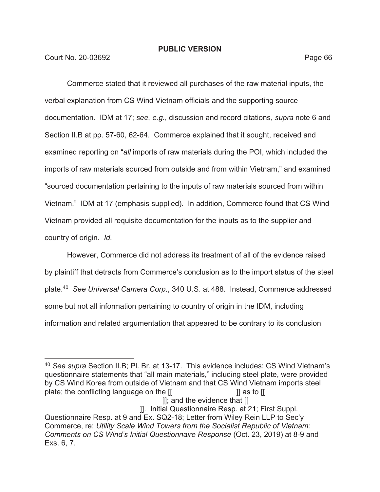Court No. 20-03692 Page 66

Commerce stated that it reviewed all purchases of the raw material inputs, the verbal explanation from CS Wind Vietnam officials and the supporting source documentation. IDM at 17; *see, e.g.*, discussion and record citations, *supra* note 6 and Section II.B at pp. 57-60, 62-64. Commerce explained that it sought, received and examined reporting on "*all* imports of raw materials during the POI, which included the imports of raw materials sourced from outside and from within Vietnam," and examined "sourced documentation pertaining to the inputs of raw materials sourced from within Vietnam." IDM at 17 (emphasis supplied).In addition, Commerce found that CS Wind Vietnam provided all requisite documentation for the inputs as to the supplier and country of origin. *Id.*

However, Commerce did not address its treatment of all of the evidence raised by plaintiff that detracts from Commerce's conclusion as to the import status of the steel plate.40 *See Universal Camera Corp.*, 340 U.S. at 488. Instead, Commerce addressed some but not all information pertaining to country of origin in the IDM, including information and related argumentation that appeared to be contrary to its conclusion

]]; and the evidence that [[

]]. Initial Questionnaire Resp. at 21; First Suppl.

<sup>40</sup> *See supra* Section II.B; Pl. Br. at 13-17. This evidence includes: CS Wind Vietnam's questionnaire statements that "all main materials," including steel plate, were provided by CS Wind Korea from outside of Vietnam and that CS Wind Vietnam imports steel plate; the conflicting language on the [[ ]] as to [[

Questionnaire Resp. at 9 and Ex. SQ2-18; Letter from Wiley Rein LLP to Sec'y Commerce, re: *Utility Scale Wind Towers from the Socialist Republic of Vietnam: Comments on CS Wind's Initial Questionnaire Response* (Oct. 23, 2019) at 8-9 and Exs. 6, 7.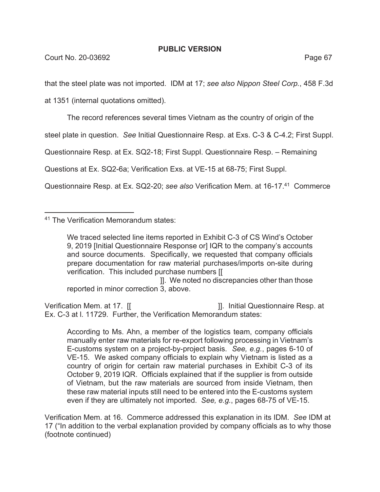that the steel plate was not imported. IDM at 17; *see also Nippon Steel Corp.*, 458 F.3d

at 1351 (internal quotations omitted).

The record references several times Vietnam as the country of origin of the

steel plate in question. *See* Initial Questionnaire Resp. at Exs. C-3 & C-4.2; First Suppl.

Questionnaire Resp. at Ex. SQ2-18; First Suppl. Questionnaire Resp. – Remaining

Questions at Ex. SQ2-6a; Verification Exs. at VE-15 at 68-75; First Suppl.

Questionnaire Resp. at Ex. SQ2-20; *see also* Verification Mem. at 16-17.41 Commerce

41 The Verification Memorandum states:

 ]]. We noted no discrepancies other than those reported in minor correction 3, above.

Verification Mem. at 17. [[  $\qquad \qquad$  ]]. Initial Questionnaire Resp. at Ex. C-3 at l. 11729. Further, the Verification Memorandum states:

According to Ms. Ahn, a member of the logistics team, company officials manually enter raw materials for re-export following processing in Vietnam's E-customs system on a project-by-project basis. *See, e.g.*, pages 6-10 of VE-15. We asked company officials to explain why Vietnam is listed as a country of origin for certain raw material purchases in Exhibit C-3 of its October 9, 2019 IQR. Officials explained that if the supplier is from outside of Vietnam, but the raw materials are sourced from inside Vietnam, then these raw material inputs still need to be entered into the E-customs system even if they are ultimately not imported. *See, e.g.*, pages 68-75 of VE-15.

Verification Mem. at 16. Commerce addressed this explanation in its IDM. *See* IDM at 17 ("In addition to the verbal explanation provided by company officials as to why those (footnote continued)

We traced selected line items reported in Exhibit C-3 of CS Wind's October 9, 2019 [Initial Questionnaire Response or] IQR to the company's accounts and source documents. Specifically, we requested that company officials prepare documentation for raw material purchases/imports on-site during verification. This included purchase numbers [[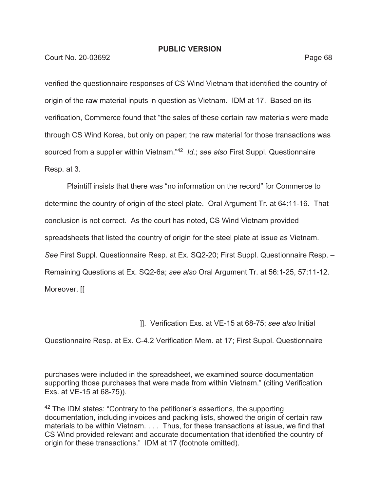Court No. 20-03692 Page 68

verified the questionnaire responses of CS Wind Vietnam that identified the country of origin of the raw material inputs in question as Vietnam. IDM at 17. Based on its verification, Commerce found that "the sales of these certain raw materials were made through CS Wind Korea, but only on paper; the raw material for those transactions was sourced from a supplier within Vietnam."42 *Id.*; *see also* First Suppl. Questionnaire Resp. at 3.

Plaintiff insists that there was "no information on the record" for Commerce to determine the country of origin of the steel plate.Oral Argument Tr. at 64:11-16. That conclusion is not correct. As the court has noted, CS Wind Vietnam provided spreadsheets that listed the country of origin for the steel plate at issue as Vietnam. *See* First Suppl. Questionnaire Resp. at Ex. SQ2-20; First Suppl. Questionnaire Resp. – Remaining Questions at Ex. SQ2-6a; *see also* Oral Argument Tr. at 56:1-25, 57:11-12. Moreover, [[

]]. Verification Exs. at VE-15 at 68-75; *see also* Initial

Questionnaire Resp. at Ex. C-4.2 Verification Mem. at 17; First Suppl. Questionnaire

purchases were included in the spreadsheet, we examined source documentation supporting those purchases that were made from within Vietnam." (citing Verification Exs. at VE-15 at 68-75)).

 $42$  The IDM states: "Contrary to the petitioner's assertions, the supporting documentation, including invoices and packing lists, showed the origin of certain raw materials to be within Vietnam. . . . Thus, for these transactions at issue, we find that CS Wind provided relevant and accurate documentation that identified the country of origin for these transactions." IDM at 17 (footnote omitted).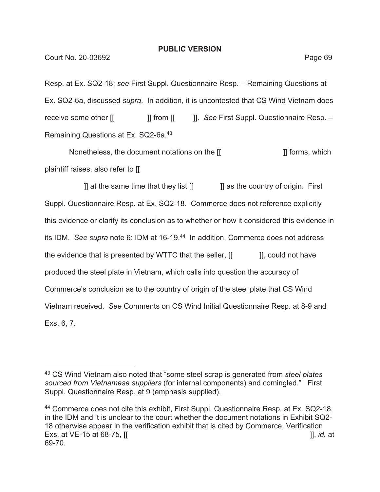Resp. at Ex. SQ2-18; *see* First Suppl. Questionnaire Resp. – Remaining Questions at Ex. SQ2-6a, discussed *supra*. In addition, it is uncontested that CS Wind Vietnam does receive some other  $[[ \qquad \qquad ]]$  from  $[[ \qquad \qquad ]]$ . *See* First Suppl. Questionnaire Resp. – Remaining Questions at Ex. SQ2-6a.43

Nonetheless, the document notations on the  $\left[\begin{matrix} 1 & 1 \end{matrix}\right]$  forms, which plaintiff raises, also refer to [[

 ]] at the same time that they list [[ ]] as the country of origin. First Suppl. Questionnaire Resp. at Ex. SQ2-18. Commerce does not reference explicitly this evidence or clarify its conclusion as to whether or how it considered this evidence in its IDM. *See supra* note 6; IDM at 16-19.44 In addition, Commerce does not address the evidence that is presented by WTTC that the seller,  $\begin{bmatrix} \cdot & \cdot & \cdot \\ \cdot & \cdot & \cdot \end{bmatrix}$ , could not have produced the steel plate in Vietnam, which calls into question the accuracy of Commerce's conclusion as to the country of origin of the steel plate that CS Wind Vietnam received. *See* Comments on CS Wind Initial Questionnaire Resp. at 8-9 and Exs. 6, 7.

<sup>43</sup> CS Wind Vietnam also noted that "some steel scrap is generated from *steel plates sourced from Vietnamese suppliers* (for internal components) and comingled." First Suppl. Questionnaire Resp. at 9 (emphasis supplied).

<sup>&</sup>lt;sup>44</sup> Commerce does not cite this exhibit, First Suppl. Questionnaire Resp. at Ex. SQ2-18, in the IDM and it is unclear to the court whether the document notations in Exhibit SQ2- 18 otherwise appear in the verification exhibit that is cited by Commerce, Verification Exs. at VE-15 at 68-75, [[ ]], *id.* at 69-70.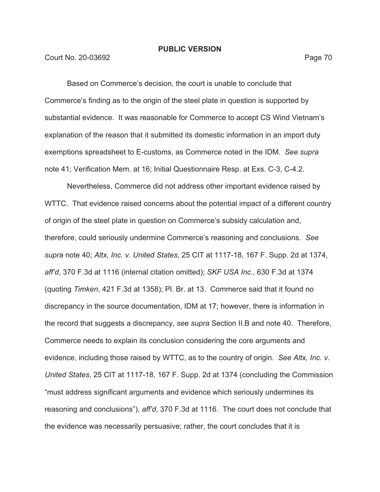Court No. 20-03692 **Page 70** 

Based on Commerce's decision, the court is unable to conclude that Commerce's finding as to the origin of the steel plate in question is supported by substantial evidence. It was reasonable for Commerce to accept CS Wind Vietnam's explanation of the reason that it submitted its domestic information in an import duty exemptions spreadsheet to E-customs, as Commerce noted in the IDM. *See supra*  note 41; Verification Mem. at 16; Initial Questionnaire Resp. at Exs. C-3, C-4.2.

Nevertheless, Commerce did not address other important evidence raised by WTTC. That evidence raised concerns about the potential impact of a different country of origin of the steel plate in question on Commerce's subsidy calculation and, therefore, could seriously undermine Commerce's reasoning and conclusions. *See supra* note 40; *Altx, Inc. v. United States*, 25 CIT at 1117-18, 167 F. Supp. 2d at 1374, *aff'd*, 370 F.3d at 1116 (internal citation omitted); *SKF USA Inc.*, 630 F.3d at 1374 (quoting *Timken*, 421 F.3d at 1358); Pl. Br. at 13. Commerce said that it found no discrepancy in the source documentation, IDM at 17; however, there is information in the record that suggests a discrepancy, *see supra* Section II.B and note 40. Therefore, Commerce needs to explain its conclusion considering the core arguments and evidence, including those raised by WTTC, as to the country of origin. *See Altx, Inc. v. United States*, 25 CIT at 1117-18, 167 F. Supp. 2d at 1374 (concluding the Commission "must address significant arguments and evidence which seriously undermines its reasoning and conclusions"), *aff'd*, 370 F.3d at 1116. The court does not conclude that the evidence was necessarily persuasive; rather, the court concludes that it is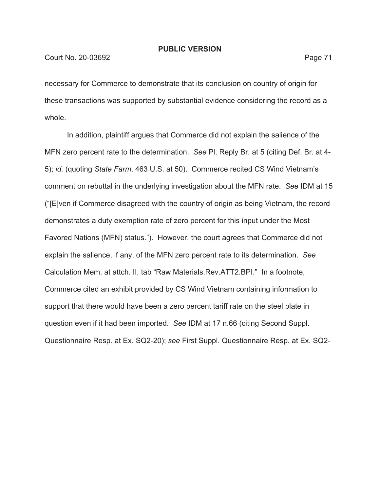necessary for Commerce to demonstrate that its conclusion on country of origin for these transactions was supported by substantial evidence considering the record as a whole.

In addition, plaintiff argues that Commerce did not explain the salience of the MFN zero percent rate to the determination. *See* Pl. Reply Br. at 5 (citing Def. Br. at 4- 5); *id.* (quoting *State Farm*, 463 U.S. at 50). Commerce recited CS Wind Vietnam's comment on rebuttal in the underlying investigation about the MFN rate. *See* IDM at 15 ("[E]ven if Commerce disagreed with the country of origin as being Vietnam, the record demonstrates a duty exemption rate of zero percent for this input under the Most Favored Nations (MFN) status."). However, the court agrees that Commerce did not explain the salience, if any, of the MFN zero percent rate to its determination. *See*  Calculation Mem. at attch. II, tab "Raw Materials.Rev.ATT2.BPI." In a footnote, Commerce cited an exhibit provided by CS Wind Vietnam containing information to support that there would have been a zero percent tariff rate on the steel plate in question even if it had been imported. *See* IDM at 17 n.66 (citing Second Suppl. Questionnaire Resp. at Ex. SQ2-20); *see* First Suppl. Questionnaire Resp. at Ex. SQ2-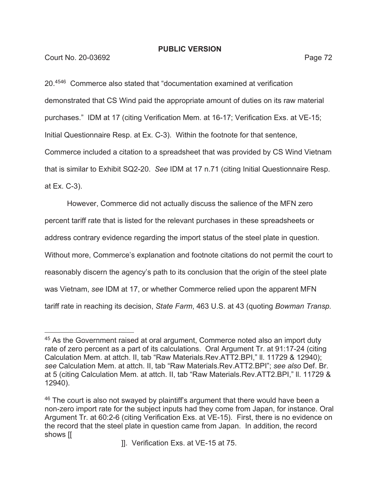**Court No. 20-03692** Page 72

20.4546 Commerce also stated that "documentation examined at verification demonstrated that CS Wind paid the appropriate amount of duties on its raw material purchases." IDM at 17 (citing Verification Mem. at 16-17; Verification Exs. at VE-15; Initial Questionnaire Resp. at Ex. C-3). Within the footnote for that sentence, Commerce included a citation to a spreadsheet that was provided by CS Wind Vietnam that is similar to Exhibit SQ2-20. *See* IDM at 17 n.71 (citing Initial Questionnaire Resp. at Ex. C-3).

However, Commerce did not actually discuss the salience of the MFN zero percent tariff rate that is listed for the relevant purchases in these spreadsheets or address contrary evidence regarding the import status of the steel plate in question. Without more, Commerce's explanation and footnote citations do not permit the court to reasonably discern the agency's path to its conclusion that the origin of the steel plate was Vietnam, *see* IDM at 17, or whether Commerce relied upon the apparent MFN tariff rate in reaching its decision, *State Farm*, 463 U.S. at 43 (quoting *Bowman Transp.* 

 $45$  As the Government raised at oral argument, Commerce noted also an import duty rate of zero percent as a part of its calculations. Oral Argument Tr. at 91:17-24 (citing Calculation Mem. at attch. II, tab "Raw Materials.Rev.ATT2.BPI," ll. 11729 & 12940); *see* Calculation Mem. at attch. II, tab "Raw Materials.Rev.ATT2.BPI"; *see also* Def. Br. at 5 (citing Calculation Mem. at attch. II, tab "Raw Materials.Rev.ATT2.BPI," ll. 11729 & 12940).

 $46$  The court is also not swayed by plaintiff's argument that there would have been a non-zero import rate for the subject inputs had they come from Japan, for instance. Oral Argument Tr. at 60:2-6 (citing Verification Exs. at VE-15). First, there is no evidence on the record that the steel plate in question came from Japan. In addition, the record shows [[

 <sup>]].</sup> Verification Exs. at VE-15 at 75.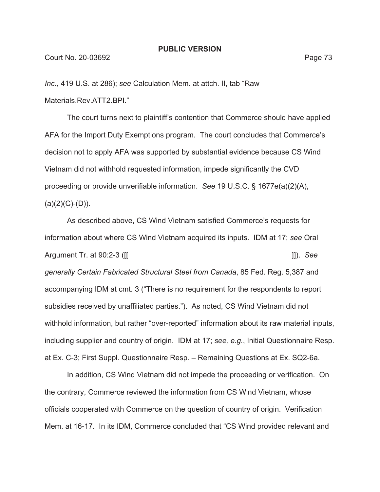*Inc.*, 419 U.S. at 286); *see* Calculation Mem. at attch. II, tab "Raw Materials.Rev.ATT2.BPI."

The court turns next to plaintiff's contention that Commerce should have applied AFA for the Import Duty Exemptions program. The court concludes that Commerce's decision not to apply AFA was supported by substantial evidence because CS Wind Vietnam did not withhold requested information, impede significantly the CVD proceeding or provide unverifiable information. *See* 19 U.S.C. § 1677e(a)(2)(A),  $(a)(2)(C)-(D)).$ 

As described above, CS Wind Vietnam satisfied Commerce's requests for information about where CS Wind Vietnam acquired its inputs. IDM at 17; *see* Oral Argument Tr. at 90:2-3 ([[ ]]). *See generally Certain Fabricated Structural Steel from Canada*, 85 Fed. Reg. 5,387 and accompanying IDM at cmt. 3 ("There is no requirement for the respondents to report subsidies received by unaffiliated parties."). As noted, CS Wind Vietnam did not withhold information, but rather "over-reported" information about its raw material inputs, including supplier and country of origin. IDM at 17; *see, e.g.*, Initial Questionnaire Resp. at Ex. C-3; First Suppl. Questionnaire Resp. – Remaining Questions at Ex. SQ2-6a.

In addition, CS Wind Vietnam did not impede the proceeding or verification. On the contrary, Commerce reviewed the information from CS Wind Vietnam, whose officials cooperated with Commerce on the question of country of origin. Verification Mem. at 16-17. In its IDM, Commerce concluded that "CS Wind provided relevant and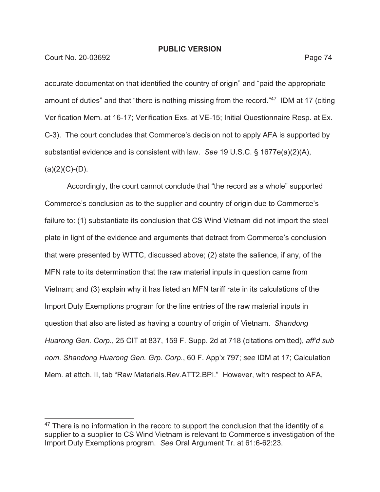Court No. 20-03692 **Page 74** 

accurate documentation that identified the country of origin" and "paid the appropriate amount of duties" and that "there is nothing missing from the record."47 IDM at 17 (citing Verification Mem. at 16-17; Verification Exs. at VE-15; Initial Questionnaire Resp. at Ex. C-3). The court concludes that Commerce's decision not to apply AFA is supported by substantial evidence and is consistent with law. *See* 19 U.S.C. § 1677e(a)(2)(A),  $(a)(2)(C)-(D)$ .

Accordingly, the court cannot conclude that "the record as a whole" supported Commerce's conclusion as to the supplier and country of origin due to Commerce's failure to: (1) substantiate its conclusion that CS Wind Vietnam did not import the steel plate in light of the evidence and arguments that detract from Commerce's conclusion that were presented by WTTC, discussed above; (2) state the salience, if any, of the MFN rate to its determination that the raw material inputs in question came from Vietnam; and (3) explain why it has listed an MFN tariff rate in its calculations of the Import Duty Exemptions program for the line entries of the raw material inputs in question that also are listed as having a country of origin of Vietnam. *Shandong Huarong Gen. Corp.*, 25 CIT at 837, 159 F. Supp. 2d at 718 (citations omitted), *aff'd sub nom. Shandong Huarong Gen. Grp. Corp.*, 60 F. App'x 797; *see* IDM at 17; Calculation Mem. at attch. II, tab "Raw Materials.Rev.ATT2.BPI." However, with respect to AFA,

 $47$  There is no information in the record to support the conclusion that the identity of a supplier to a supplier to CS Wind Vietnam is relevant to Commerce's investigation of the Import Duty Exemptions program. *See* Oral Argument Tr. at 61:6-62:23.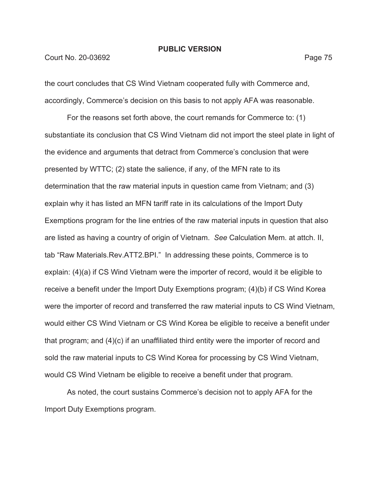#### Court No. 20-03692 Page 75

the court concludes that CS Wind Vietnam cooperated fully with Commerce and, accordingly, Commerce's decision on this basis to not apply AFA was reasonable.

For the reasons set forth above, the court remands for Commerce to: (1) substantiate its conclusion that CS Wind Vietnam did not import the steel plate in light of the evidence and arguments that detract from Commerce's conclusion that were presented by WTTC; (2) state the salience, if any, of the MFN rate to its determination that the raw material inputs in question came from Vietnam; and (3) explain why it has listed an MFN tariff rate in its calculations of the Import Duty Exemptions program for the line entries of the raw material inputs in question that also are listed as having a country of origin of Vietnam. *See* Calculation Mem. at attch. II, tab "Raw Materials.Rev.ATT2.BPI." In addressing these points, Commerce is to explain: (4)(a) if CS Wind Vietnam were the importer of record, would it be eligible to receive a benefit under the Import Duty Exemptions program; (4)(b) if CS Wind Korea were the importer of record and transferred the raw material inputs to CS Wind Vietnam, would either CS Wind Vietnam or CS Wind Korea be eligible to receive a benefit under that program; and (4)(c) if an unaffiliated third entity were the importer of record and sold the raw material inputs to CS Wind Korea for processing by CS Wind Vietnam, would CS Wind Vietnam be eligible to receive a benefit under that program.

As noted, the court sustains Commerce's decision not to apply AFA for the Import Duty Exemptions program.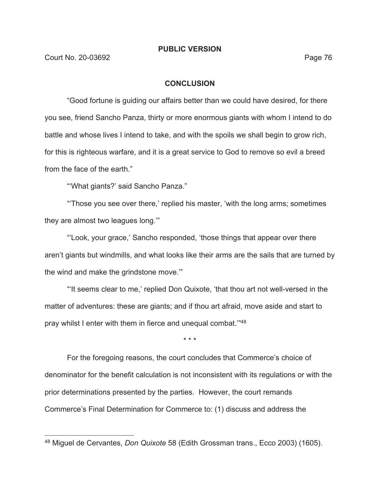### **CONCLUSION**

"Good fortune is guiding our affairs better than we could have desired, for there you see, friend Sancho Panza, thirty or more enormous giants with whom I intend to do battle and whose lives I intend to take, and with the spoils we shall begin to grow rich, for this is righteous warfare, and it is a great service to God to remove so evil a breed from the face of the earth."

"'What giants?' said Sancho Panza."

"'Those you see over there,' replied his master, 'with the long arms; sometimes they are almost two leagues long.'"

"'Look, your grace,' Sancho responded, 'those things that appear over there aren't giants but windmills, and what looks like their arms are the sails that are turned by the wind and make the grindstone move.'"

"'It seems clear to me,' replied Don Quixote, 'that thou art not well-versed in the matter of adventures: these are giants; and if thou art afraid, move aside and start to pray whilst I enter with them in fierce and unequal combat.'"48

\* \* \*

For the foregoing reasons, the court concludes that Commerce's choice of denominator for the benefit calculation is not inconsistent with its regulations or with the prior determinations presented by the parties. However, the court remands Commerce's Final Determination for Commerce to: (1) discuss and address the

<sup>48</sup> Miguel de Cervantes, *Don Quixote* 58 (Edith Grossman trans., Ecco 2003) (1605).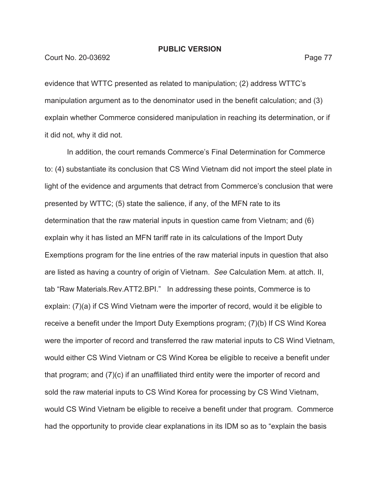#### Court No. 20-03692 Page 77

evidence that WTTC presented as related to manipulation; (2) address WTTC's manipulation argument as to the denominator used in the benefit calculation; and (3) explain whether Commerce considered manipulation in reaching its determination, or if it did not, why it did not.

In addition, the court remands Commerce's Final Determination for Commerce to: (4) substantiate its conclusion that CS Wind Vietnam did not import the steel plate in light of the evidence and arguments that detract from Commerce's conclusion that were presented by WTTC; (5) state the salience, if any, of the MFN rate to its determination that the raw material inputs in question came from Vietnam; and (6) explain why it has listed an MFN tariff rate in its calculations of the Import Duty Exemptions program for the line entries of the raw material inputs in question that also are listed as having a country of origin of Vietnam. *See* Calculation Mem. at attch. II, tab "Raw Materials.Rev.ATT2.BPI." In addressing these points, Commerce is to explain: (7)(a) if CS Wind Vietnam were the importer of record, would it be eligible to receive a benefit under the Import Duty Exemptions program; (7)(b) If CS Wind Korea were the importer of record and transferred the raw material inputs to CS Wind Vietnam, would either CS Wind Vietnam or CS Wind Korea be eligible to receive a benefit under that program; and (7)(c) if an unaffiliated third entity were the importer of record and sold the raw material inputs to CS Wind Korea for processing by CS Wind Vietnam, would CS Wind Vietnam be eligible to receive a benefit under that program. Commerce had the opportunity to provide clear explanations in its IDM so as to "explain the basis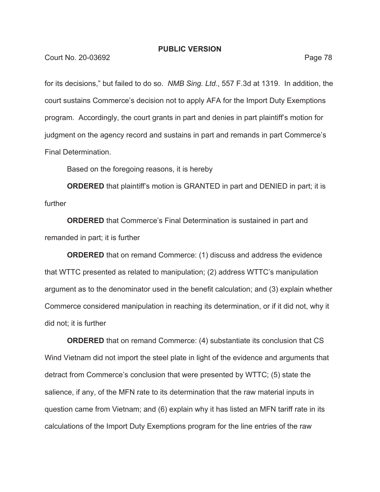for its decisions," but failed to do so. *NMB Sing. Ltd.*, 557 F.3d at 1319. In addition, the court sustains Commerce's decision not to apply AFA for the Import Duty Exemptions program. Accordingly, the court grants in part and denies in part plaintiff's motion for judgment on the agency record and sustains in part and remands in part Commerce's Final Determination.

Based on the foregoing reasons, it is hereby

**ORDERED** that plaintiff's motion is GRANTED in part and DENIED in part; it is further

**ORDERED** that Commerce's Final Determination is sustained in part and remanded in part; it is further

**ORDERED** that on remand Commerce: (1) discuss and address the evidence that WTTC presented as related to manipulation; (2) address WTTC's manipulation argument as to the denominator used in the benefit calculation; and (3) explain whether Commerce considered manipulation in reaching its determination, or if it did not, why it did not; it is further

**ORDERED** that on remand Commerce: (4) substantiate its conclusion that CS Wind Vietnam did not import the steel plate in light of the evidence and arguments that detract from Commerce's conclusion that were presented by WTTC; (5) state the salience, if any, of the MFN rate to its determination that the raw material inputs in question came from Vietnam; and (6) explain why it has listed an MFN tariff rate in its calculations of the Import Duty Exemptions program for the line entries of the raw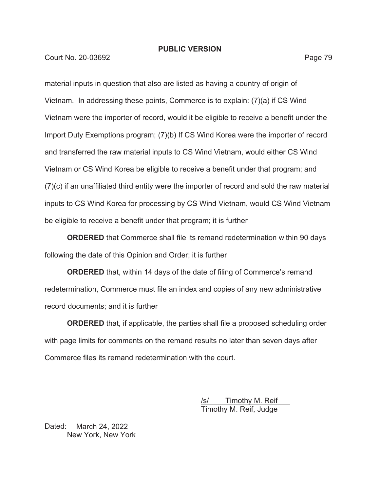Court No. 20-03692 Page 79

material inputs in question that also are listed as having a country of origin of Vietnam. In addressing these points, Commerce is to explain: (7)(a) if CS Wind Vietnam were the importer of record, would it be eligible to receive a benefit under the Import Duty Exemptions program; (7)(b) If CS Wind Korea were the importer of record and transferred the raw material inputs to CS Wind Vietnam, would either CS Wind Vietnam or CS Wind Korea be eligible to receive a benefit under that program; and (7)(c) if an unaffiliated third entity were the importer of record and sold the raw material inputs to CS Wind Korea for processing by CS Wind Vietnam, would CS Wind Vietnam be eligible to receive a benefit under that program; it is further

**ORDERED** that Commerce shall file its remand redetermination within 90 days following the date of this Opinion and Order; it is further

**ORDERED** that, within 14 days of the date of filing of Commerce's remand redetermination, Commerce must file an index and copies of any new administrative record documents; and it is further

**ORDERED** that, if applicable, the parties shall file a proposed scheduling order with page limits for comments on the remand results no later than seven days after Commerce files its remand redetermination with the court.

> Timothy M. Reif Timothy M. Reif, Judge

Dated: **March 24, 2022** New York, New York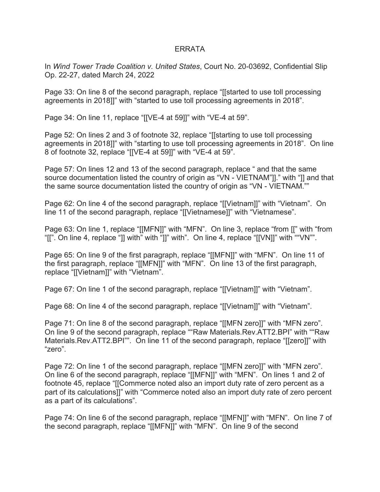# ERRATA

In *Wind Tower Trade Coalition v. United States*, Court No. 20-03692, Confidential Slip Op. 22-27, dated March 24, 2022

Page 33: On line 8 of the second paragraph, replace "[[started to use toll processing agreements in 2018]]" with "started to use toll processing agreements in 2018".

Page 34: On line 11, replace "[[VE-4 at 59]]" with "VE-4 at 59".

Page 52: On lines 2 and 3 of footnote 32, replace "[[starting to use toll processing agreements in 2018]]" with "starting to use toll processing agreements in 2018". On line 8 of footnote 32, replace "[[VE-4 at 59]]" with "VE-4 at 59".

Page 57: On lines 12 and 13 of the second paragraph, replace " and that the same source documentation listed the country of origin as "VN - VIETNAM"]]." with "]] and that the same source documentation listed the country of origin as "VN - VIETNAM.""

Page 62: On line 4 of the second paragraph, replace "[[Vietnam]]" with "Vietnam". On line 11 of the second paragraph, replace "[[Vietnamese]]" with "Vietnamese".

Page 63: On line 1, replace "[[MFN]]" with "MFN". On line 3, replace "from [[" with "from "[[". On line 4, replace "]] with" with "]]" with". On line 4, replace "[[VN]]" with ""VN"".

Page 65: On line 9 of the first paragraph, replace "[[MFN]]" with "MFN". On line 11 of the first paragraph, replace "[[MFN]]" with "MFN". On line 13 of the first paragraph, replace "[[Vietnam]]" with "Vietnam".

Page 67: On line 1 of the second paragraph, replace "[[Vietnam]]" with "Vietnam".

Page 68: On line 4 of the second paragraph, replace "[[Vietnam]]" with "Vietnam".

Page 71: On line 8 of the second paragraph, replace "[[MFN zero]]" with "MFN zero". On line 9 of the second paragraph, replace ""Raw Materials.Rev.ATT2.BPI" with ""Raw Materials.Rev.ATT2.BPI"". On line 11 of the second paragraph, replace "[[zero]]" with "zero".

Page 72: On line 1 of the second paragraph, replace "[[MFN zero]]" with "MFN zero". On line 6 of the second paragraph, replace "[[MFN]]" with "MFN". On lines 1 and 2 of footnote 45, replace "[[Commerce noted also an import duty rate of zero percent as a part of its calculations]]" with "Commerce noted also an import duty rate of zero percent as a part of its calculations".

Page 74: On line 6 of the second paragraph, replace "[[MFN]]" with "MFN". On line 7 of the second paragraph, replace "[[MFN]]" with "MFN". On line 9 of the second